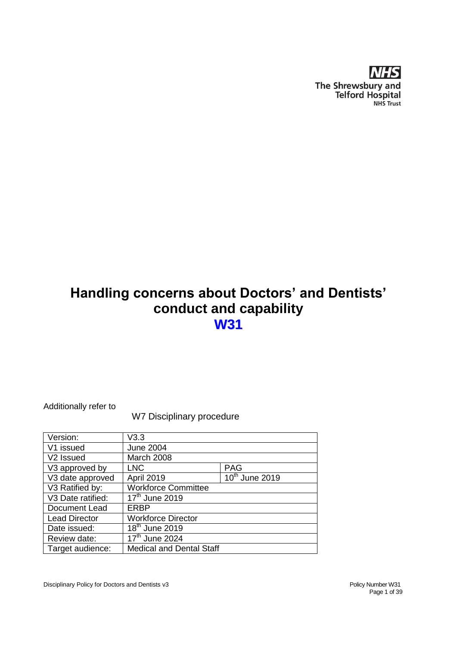

# **Handling concerns about Doctors' and Dentists' conduct and capability W31**

Additionally refer to

W7 Disciplinary procedure

| Version:              | V3.3                            |                            |
|-----------------------|---------------------------------|----------------------------|
| V1 issued             | <b>June 2004</b>                |                            |
| V <sub>2</sub> Issued | March 2008                      |                            |
| V3 approved by        | <b>LNC</b>                      | <b>PAG</b>                 |
| V3 date approved      | <b>April 2019</b>               | 10 <sup>th</sup> June 2019 |
| V3 Ratified by:       | <b>Workforce Committee</b>      |                            |
| V3 Date ratified:     | 17 <sup>th</sup> June 2019      |                            |
| Document Lead         | <b>ERBP</b>                     |                            |
| <b>Lead Director</b>  | <b>Workforce Director</b>       |                            |
| Date issued:          | 18 <sup>th</sup> June 2019      |                            |
| Review date:          | 17 <sup>th</sup> June 2024      |                            |
| Target audience:      | <b>Medical and Dental Staff</b> |                            |
|                       |                                 |                            |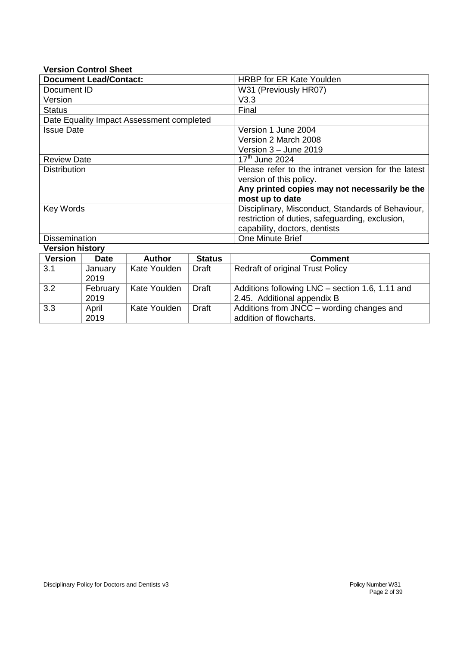#### **Version Control Sheet**

2019

2019

3.3 April

| <b>Document Lead/Contact:</b>             |             |               |                                               | <b>HRBP for ER Kate Youlden</b>                     |
|-------------------------------------------|-------------|---------------|-----------------------------------------------|-----------------------------------------------------|
| Document ID                               |             |               |                                               | W31 (Previously HR07)                               |
| Version                                   |             |               |                                               | V3.3                                                |
| <b>Status</b>                             |             |               |                                               | Final                                               |
| Date Equality Impact Assessment completed |             |               |                                               |                                                     |
| <b>Issue Date</b>                         |             |               |                                               | Version 1 June 2004                                 |
|                                           |             |               |                                               | Version 2 March 2008                                |
|                                           |             |               |                                               | Version 3 - June 2019                               |
| <b>Review Date</b>                        |             |               |                                               | $17th$ June 2024                                    |
| <b>Distribution</b>                       |             |               |                                               | Please refer to the intranet version for the latest |
|                                           |             |               | version of this policy.                       |                                                     |
|                                           |             |               | Any printed copies may not necessarily be the |                                                     |
|                                           |             |               |                                               | most up to date                                     |
| Key Words                                 |             |               |                                               | Disciplinary, Misconduct, Standards of Behaviour,   |
|                                           |             |               |                                               | restriction of duties, safeguarding, exclusion,     |
|                                           |             |               |                                               | capability, doctors, dentists                       |
| <b>Dissemination</b>                      |             |               |                                               | <b>One Minute Brief</b>                             |
| <b>Version history</b>                    |             |               |                                               |                                                     |
| <b>Version</b>                            | <b>Date</b> | <b>Author</b> | <b>Status</b>                                 | <b>Comment</b>                                      |
| 3.1                                       | January     | Kate Youlden  | Draft                                         | <b>Redraft of original Trust Policy</b>             |
|                                           | 2019        |               |                                               |                                                     |
| 3.2                                       | February    | Kate Youlden  | Draft                                         | Additions following LNC – section 1.6, 1.11 and     |

2.45. Additional appendix B

Kate Youlden  $\vert$  Draft  $\vert$  Additions from JNCC – wording changes and addition of flowcharts.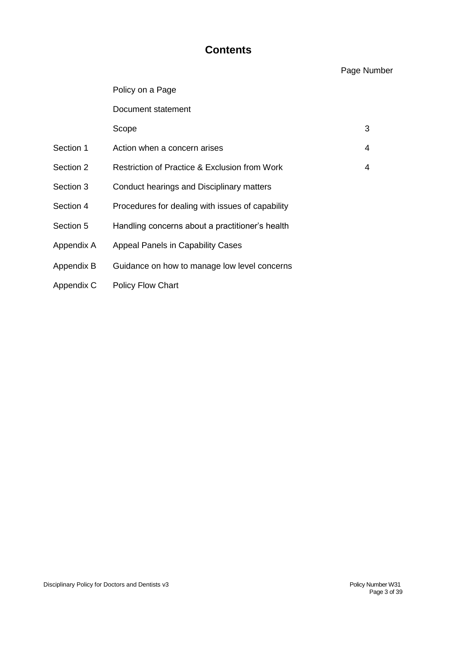# **Contents**

# Page Number

|            | Policy on a Page                                 |   |
|------------|--------------------------------------------------|---|
|            | Document statement                               |   |
|            | Scope                                            | 3 |
| Section 1  | Action when a concern arises                     | 4 |
| Section 2  | Restriction of Practice & Exclusion from Work    | 4 |
| Section 3  | Conduct hearings and Disciplinary matters        |   |
| Section 4  | Procedures for dealing with issues of capability |   |
| Section 5  | Handling concerns about a practitioner's health  |   |
| Appendix A | <b>Appeal Panels in Capability Cases</b>         |   |
| Appendix B | Guidance on how to manage low level concerns     |   |
| Appendix C | <b>Policy Flow Chart</b>                         |   |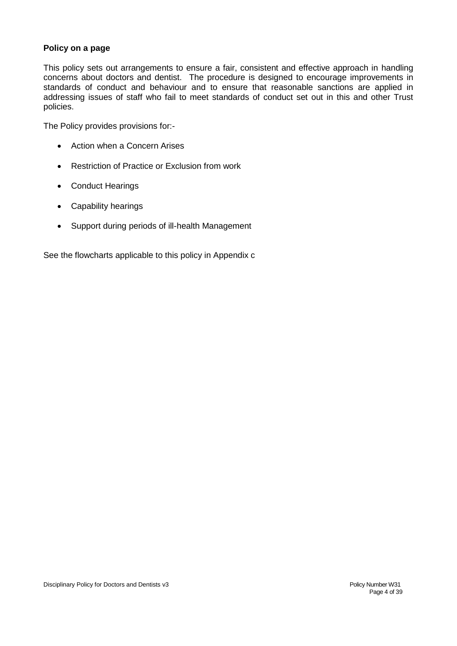## **Policy on a page**

This policy sets out arrangements to ensure a fair, consistent and effective approach in handling concerns about doctors and dentist. The procedure is designed to encourage improvements in standards of conduct and behaviour and to ensure that reasonable sanctions are applied in addressing issues of staff who fail to meet standards of conduct set out in this and other Trust policies.

The Policy provides provisions for:-

- Action when a Concern Arises
- Restriction of Practice or Exclusion from work
- Conduct Hearings
- Capability hearings
- Support during periods of ill-health Management

See the flowcharts applicable to this policy in Appendix c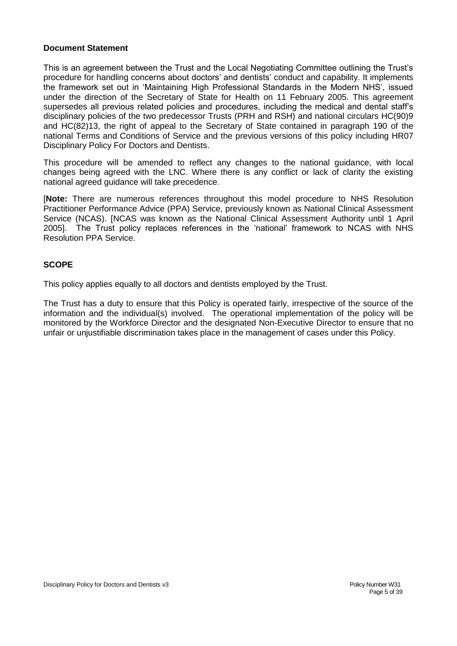#### **Document Statement**

This is an agreement between the Trust and the Local Negotiating Committee outlining the Trust's procedure for handling concerns about doctors' and dentists' conduct and capability. It implements the framework set out in 'Maintaining High Professional Standards in the Modern NHS', issued under the direction of the Secretary of State for Health on 11 February 2005. This agreement supersedes all previous related policies and procedures, including the medical and dental staff's disciplinary policies of the two predecessor Trusts (PRH and RSH) and national circulars HC(90)9 and HC(82)13, the right of appeal to the Secretary of State contained in paragraph 190 of the national Terms and Conditions of Service and the previous versions of this policy including HR07 Disciplinary Policy For Doctors and Dentists.

This procedure will be amended to reflect any changes to the national guidance, with local changes being agreed with the LNC. Where there is any conflict or lack of clarity the existing national agreed guidance will take precedence.

[**Note:** There are numerous references throughout this model procedure to NHS Resolution Practitioner Performance Advice (PPA) Service, previously known as National Clinical Assessment Service (NCAS). [NCAS was known as the National Clinical Assessment Authority until 1 April 2005]. The Trust policy replaces references in the 'national' framework to NCAS with NHS Resolution PPA Service.

## **SCOPE**

This policy applies equally to all doctors and dentists employed by the Trust.

The Trust has a duty to ensure that this Policy is operated fairly, irrespective of the source of the information and the individual(s) involved. The operational implementation of the policy will be monitored by the Workforce Director and the designated Non-Executive Director to ensure that no unfair or unjustifiable discrimination takes place in the management of cases under this Policy.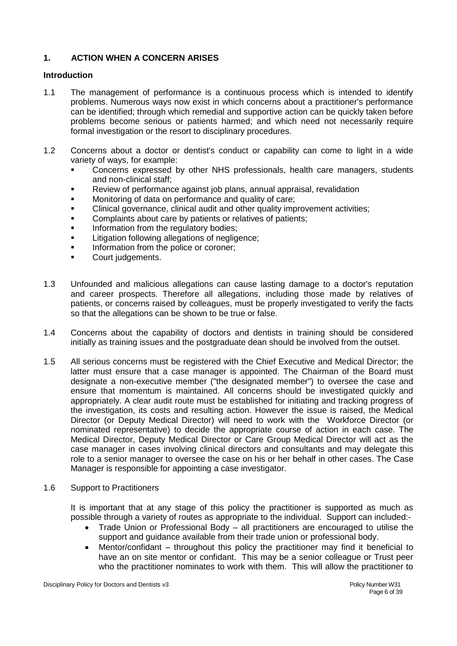## **1. ACTION WHEN A CONCERN ARISES**

#### **Introduction**

- 1.1 The management of performance is a continuous process which is intended to identify problems. Numerous ways now exist in which concerns about a practitioner's performance can be identified; through which remedial and supportive action can be quickly taken before problems become serious or patients harmed; and which need not necessarily require formal investigation or the resort to disciplinary procedures.
- 1.2 Concerns about a doctor or dentist's conduct or capability can come to light in a wide variety of ways, for example:
	- Concerns expressed by other NHS professionals, health care managers, students and non-clinical staff;
	- Review of performance against job plans, annual appraisal, revalidation
	- Monitoring of data on performance and quality of care;
	- Clinical governance, clinical audit and other quality improvement activities;
	- **Complaints about care by patients or relatives of patients;**
	- Information from the regulatory bodies;
	- Litigation following allegations of negligence;
	- Information from the police or coroner;
	- Court judgements.
- 1.3 Unfounded and malicious allegations can cause lasting damage to a doctor's reputation and career prospects. Therefore all allegations, including those made by relatives of patients, or concerns raised by colleagues, must be properly investigated to verify the facts so that the allegations can be shown to be true or false.
- 1.4 Concerns about the capability of doctors and dentists in training should be considered initially as training issues and the postgraduate dean should be involved from the outset.
- 1.5 All serious concerns must be registered with the Chief Executive and Medical Director; the latter must ensure that a case manager is appointed. The Chairman of the Board must designate a non-executive member ("the designated member") to oversee the case and ensure that momentum is maintained. All concerns should be investigated quickly and appropriately. A clear audit route must be established for initiating and tracking progress of the investigation, its costs and resulting action. However the issue is raised, the Medical Director (or Deputy Medical Director) will need to work with the Workforce Director (or nominated representative) to decide the appropriate course of action in each case. The Medical Director, Deputy Medical Director or Care Group Medical Director will act as the case manager in cases involving clinical directors and consultants and may delegate this role to a senior manager to oversee the case on his or her behalf in other cases. The Case Manager is responsible for appointing a case investigator.
- 1.6 Support to Practitioners

It is important that at any stage of this policy the practitioner is supported as much as possible through a variety of routes as appropriate to the individual. Support can included:-

- Trade Union or Professional Body all practitioners are encouraged to utilise the support and guidance available from their trade union or professional body.
- Mentor/confidant throughout this policy the practitioner may find it beneficial to have an on site mentor or confidant. This may be a senior colleague or Trust peer who the practitioner nominates to work with them. This will allow the practitioner to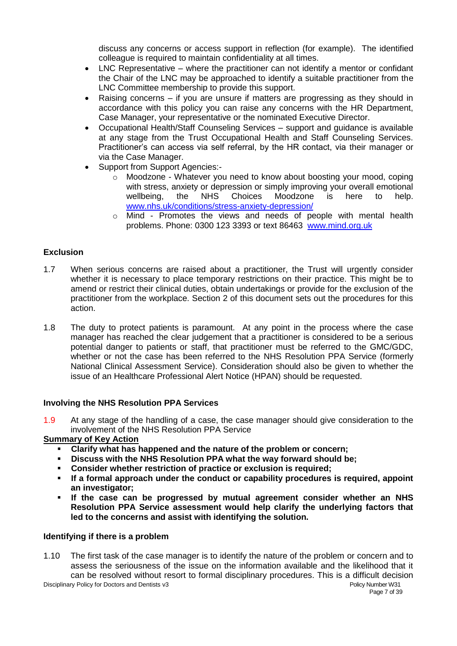discuss any concerns or access support in reflection (for example). The identified colleague is required to maintain confidentiality at all times.

- LNC Representative where the practitioner can not identify a mentor or confidant the Chair of the LNC may be approached to identify a suitable practitioner from the LNC Committee membership to provide this support.
- Raising concerns if you are unsure if matters are progressing as they should in accordance with this policy you can raise any concerns with the HR Department, Case Manager, your representative or the nominated Executive Director.
- Occupational Health/Staff Counseling Services support and guidance is available at any stage from the Trust Occupational Health and Staff Counseling Services. Practitioner's can access via self referral, by the HR contact, via their manager or via the Case Manager.
- Support from Support Agencies:
	- o Moodzone Whatever you need to know about boosting your mood, coping with stress, anxiety or depression or simply improving your overall emotional wellbeing, the NHS Choices Moodzone is here to help. [www.nhs.uk/conditions/stress-anxiety-depression/](http://www.nhs.uk/conditions/stress-anxiety-depression/)
	- $\circ$  Mind Promotes the views and needs of people with mental health problems. Phone: 0300 123 3393 or text 86463 [www.mind.org.uk](http://www.mind.org.uk/)

## **Exclusion**

- 1.7 When serious concerns are raised about a practitioner, the Trust will urgently consider whether it is necessary to place temporary restrictions on their practice. This might be to amend or restrict their clinical duties, obtain undertakings or provide for the exclusion of the practitioner from the workplace. Section 2 of this document sets out the procedures for this action.
- 1.8 The duty to protect patients is paramount. At any point in the process where the case manager has reached the clear judgement that a practitioner is considered to be a serious potential danger to patients or staff, that practitioner must be referred to the GMC/GDC, whether or not the case has been referred to the NHS Resolution PPA Service (formerly National Clinical Assessment Service). Consideration should also be given to whether the issue of an Healthcare Professional Alert Notice (HPAN) should be requested.

#### **Involving the NHS Resolution PPA Services**

1.9 At any stage of the handling of a case, the case manager should give consideration to the involvement of the NHS Resolution PPA Service

#### **Summary of Key Action**

- **Clarify what has happened and the nature of the problem or concern;**
- **Discuss with the NHS Resolution PPA what the way forward should be;**
- **Consider whether restriction of practice or exclusion is required;**
- **If a formal approach under the conduct or capability procedures is required, appoint an investigator;**
- **If the case can be progressed by mutual agreement consider whether an NHS Resolution PPA Service assessment would help clarify the underlying factors that led to the concerns and assist with identifying the solution.**

#### **Identifying if there is a problem**

Disciplinary Policy for Doctors and Dentists v3<br>Policy Number W31<br>Page 7 of 39 1.10 The first task of the case manager is to identify the nature of the problem or concern and to assess the seriousness of the issue on the information available and the likelihood that it can be resolved without resort to formal disciplinary procedures. This is a difficult decision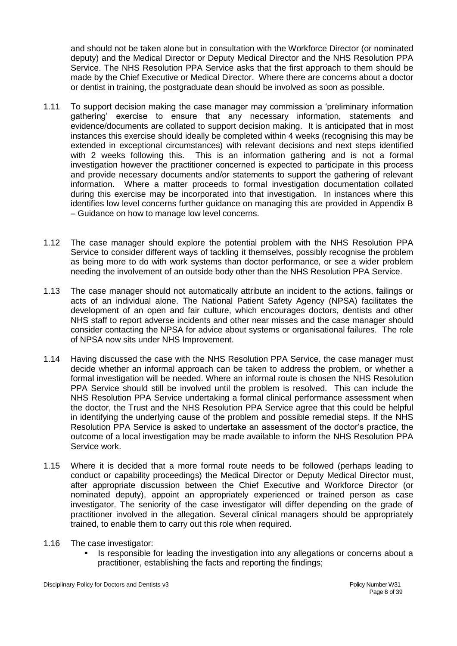and should not be taken alone but in consultation with the Workforce Director (or nominated deputy) and the Medical Director or Deputy Medical Director and the NHS Resolution PPA Service. The NHS Resolution PPA Service asks that the first approach to them should be made by the Chief Executive or Medical Director. Where there are concerns about a doctor or dentist in training, the postgraduate dean should be involved as soon as possible.

- 1.11 To support decision making the case manager may commission a 'preliminary information gathering' exercise to ensure that any necessary information, statements and evidence/documents are collated to support decision making. It is anticipated that in most instances this exercise should ideally be completed within 4 weeks (recognising this may be extended in exceptional circumstances) with relevant decisions and next steps identified with 2 weeks following this. This is an information gathering and is not a formal investigation however the practitioner concerned is expected to participate in this process and provide necessary documents and/or statements to support the gathering of relevant information. Where a matter proceeds to formal investigation documentation collated during this exercise may be incorporated into that investigation. In instances where this identifies low level concerns further guidance on managing this are provided in Appendix B – Guidance on how to manage low level concerns.
- 1.12 The case manager should explore the potential problem with the NHS Resolution PPA Service to consider different ways of tackling it themselves, possibly recognise the problem as being more to do with work systems than doctor performance, or see a wider problem needing the involvement of an outside body other than the NHS Resolution PPA Service.
- 1.13 The case manager should not automatically attribute an incident to the actions, failings or acts of an individual alone. The National Patient Safety Agency (NPSA) facilitates the development of an open and fair culture, which encourages doctors, dentists and other NHS staff to report adverse incidents and other near misses and the case manager should consider contacting the NPSA for advice about systems or organisational failures. The role of NPSA now sits under NHS Improvement.
- 1.14 Having discussed the case with the NHS Resolution PPA Service, the case manager must decide whether an informal approach can be taken to address the problem, or whether a formal investigation will be needed. Where an informal route is chosen the NHS Resolution PPA Service should still be involved until the problem is resolved. This can include the NHS Resolution PPA Service undertaking a formal clinical performance assessment when the doctor, the Trust and the NHS Resolution PPA Service agree that this could be helpful in identifying the underlying cause of the problem and possible remedial steps. If the NHS Resolution PPA Service is asked to undertake an assessment of the doctor's practice, the outcome of a local investigation may be made available to inform the NHS Resolution PPA Service work.
- 1.15 Where it is decided that a more formal route needs to be followed (perhaps leading to conduct or capability proceedings) the Medical Director or Deputy Medical Director must, after appropriate discussion between the Chief Executive and Workforce Director (or nominated deputy), appoint an appropriately experienced or trained person as case investigator. The seniority of the case investigator will differ depending on the grade of practitioner involved in the allegation. Several clinical managers should be appropriately trained, to enable them to carry out this role when required.
- 1.16 The case investigator:
	- **In all is responsible for leading the investigation into any allegations or concerns about a** practitioner, establishing the facts and reporting the findings;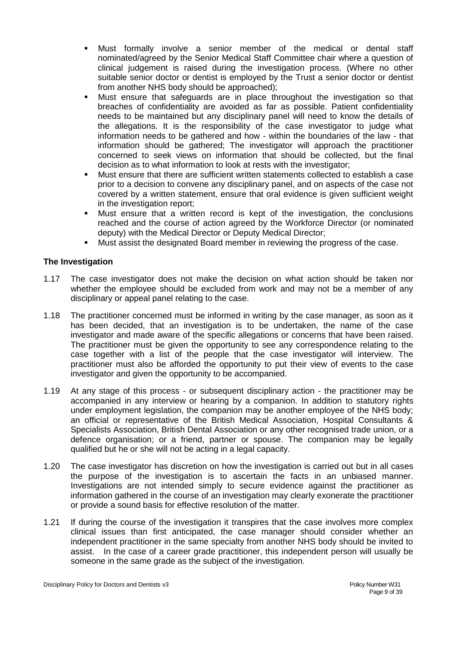- Must formally involve a senior member of the medical or dental staff nominated/agreed by the Senior Medical Staff Committee chair where a question of clinical judgement is raised during the investigation process. (Where no other suitable senior doctor or dentist is employed by the Trust a senior doctor or dentist from another NHS body should be approached);
- Must ensure that safeguards are in place throughout the investigation so that breaches of confidentiality are avoided as far as possible. Patient confidentiality needs to be maintained but any disciplinary panel will need to know the details of the allegations. It is the responsibility of the case investigator to judge what information needs to be gathered and how - within the boundaries of the law - that information should be gathered; The investigator will approach the practitioner concerned to seek views on information that should be collected, but the final decision as to what information to look at rests with the investigator;
- Must ensure that there are sufficient written statements collected to establish a case prior to a decision to convene any disciplinary panel, and on aspects of the case not covered by a written statement, ensure that oral evidence is given sufficient weight in the investigation report;
- Must ensure that a written record is kept of the investigation, the conclusions reached and the course of action agreed by the Workforce Director (or nominated deputy) with the Medical Director or Deputy Medical Director;
- Must assist the designated Board member in reviewing the progress of the case.

## **The Investigation**

- 1.17 The case investigator does not make the decision on what action should be taken nor whether the employee should be excluded from work and may not be a member of any disciplinary or appeal panel relating to the case.
- 1.18 The practitioner concerned must be informed in writing by the case manager, as soon as it has been decided, that an investigation is to be undertaken, the name of the case investigator and made aware of the specific allegations or concerns that have been raised. The practitioner must be given the opportunity to see any correspondence relating to the case together with a list of the people that the case investigator will interview. The practitioner must also be afforded the opportunity to put their view of events to the case investigator and given the opportunity to be accompanied.
- 1.19 At any stage of this process or subsequent disciplinary action the practitioner may be accompanied in any interview or hearing by a companion. In addition to statutory rights under employment legislation, the companion may be another employee of the NHS body; an official or representative of the British Medical Association, Hospital Consultants & Specialists Association, British Dental Association or any other recognised trade union, or a defence organisation; or a friend, partner or spouse. The companion may be legally qualified but he or she will not be acting in a legal capacity.
- 1.20 The case investigator has discretion on how the investigation is carried out but in all cases the purpose of the investigation is to ascertain the facts in an unbiased manner. Investigations are not intended simply to secure evidence against the practitioner as information gathered in the course of an investigation may clearly exonerate the practitioner or provide a sound basis for effective resolution of the matter.
- 1.21 If during the course of the investigation it transpires that the case involves more complex clinical issues than first anticipated, the case manager should consider whether an independent practitioner in the same specialty from another NHS body should be invited to assist. In the case of a career grade practitioner, this independent person will usually be someone in the same grade as the subject of the investigation.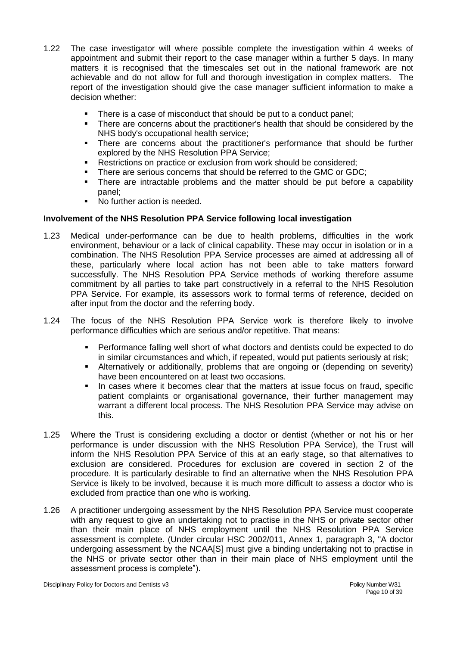- 1.22 The case investigator will where possible complete the investigation within 4 weeks of appointment and submit their report to the case manager within a further 5 days. In many matters it is recognised that the timescales set out in the national framework are not achievable and do not allow for full and thorough investigation in complex matters. The report of the investigation should give the case manager sufficient information to make a decision whether:
	- There is a case of misconduct that should be put to a conduct panel;
	- There are concerns about the practitioner's health that should be considered by the NHS body's occupational health service;
	- There are concerns about the practitioner's performance that should be further explored by the NHS Resolution PPA Service;
	- Restrictions on practice or exclusion from work should be considered;
	- There are serious concerns that should be referred to the GMC or GDC;
	- There are intractable problems and the matter should be put before a capability panel;
	- No further action is needed.

#### **Involvement of the NHS Resolution PPA Service following local investigation**

- 1.23 Medical under-performance can be due to health problems, difficulties in the work environment, behaviour or a lack of clinical capability. These may occur in isolation or in a combination. The NHS Resolution PPA Service processes are aimed at addressing all of these, particularly where local action has not been able to take matters forward successfully. The NHS Resolution PPA Service methods of working therefore assume commitment by all parties to take part constructively in a referral to the NHS Resolution PPA Service. For example, its assessors work to formal terms of reference, decided on after input from the doctor and the referring body.
- 1.24 The focus of the NHS Resolution PPA Service work is therefore likely to involve performance difficulties which are serious and/or repetitive. That means:
	- Performance falling well short of what doctors and dentists could be expected to do in similar circumstances and which, if repeated, would put patients seriously at risk;
	- Alternatively or additionally, problems that are ongoing or (depending on severity) have been encountered on at least two occasions.
	- In cases where it becomes clear that the matters at issue focus on fraud, specific patient complaints or organisational governance, their further management may warrant a different local process. The NHS Resolution PPA Service may advise on this.
- 1.25 Where the Trust is considering excluding a doctor or dentist (whether or not his or her performance is under discussion with the NHS Resolution PPA Service), the Trust will inform the NHS Resolution PPA Service of this at an early stage, so that alternatives to exclusion are considered. Procedures for exclusion are covered in section 2 of the procedure. It is particularly desirable to find an alternative when the NHS Resolution PPA Service is likely to be involved, because it is much more difficult to assess a doctor who is excluded from practice than one who is working.
- 1.26 A practitioner undergoing assessment by the NHS Resolution PPA Service must cooperate with any request to give an undertaking not to practise in the NHS or private sector other than their main place of NHS employment until the NHS Resolution PPA Service assessment is complete. (Under circular HSC 2002/011, Annex 1, paragraph 3, "A doctor undergoing assessment by the NCAA[S] must give a binding undertaking not to practise in the NHS or private sector other than in their main place of NHS employment until the assessment process is complete").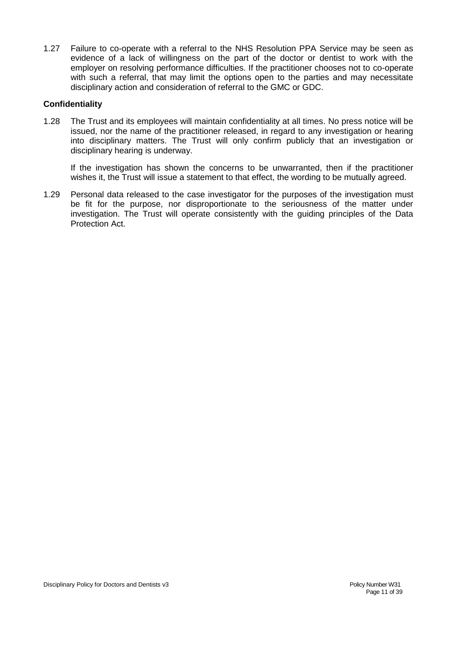1.27 Failure to co-operate with a referral to the NHS Resolution PPA Service may be seen as evidence of a lack of willingness on the part of the doctor or dentist to work with the employer on resolving performance difficulties. If the practitioner chooses not to co-operate with such a referral, that may limit the options open to the parties and may necessitate disciplinary action and consideration of referral to the GMC or GDC.

#### **Confidentiality**

1.28 The Trust and its employees will maintain confidentiality at all times. No press notice will be issued, nor the name of the practitioner released, in regard to any investigation or hearing into disciplinary matters. The Trust will only confirm publicly that an investigation or disciplinary hearing is underway.

If the investigation has shown the concerns to be unwarranted, then if the practitioner wishes it, the Trust will issue a statement to that effect, the wording to be mutually agreed.

1.29 Personal data released to the case investigator for the purposes of the investigation must be fit for the purpose, nor disproportionate to the seriousness of the matter under investigation. The Trust will operate consistently with the guiding principles of the Data Protection Act.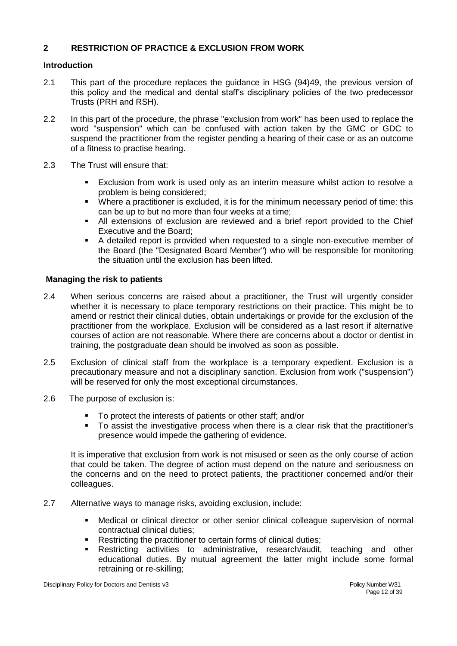## **2 RESTRICTION OF PRACTICE & EXCLUSION FROM WORK**

#### **Introduction**

- 2.1 This part of the procedure replaces the guidance in HSG (94)49, the previous version of this policy and the medical and dental staff's disciplinary policies of the two predecessor Trusts (PRH and RSH).
- 2.2 In this part of the procedure, the phrase "exclusion from work" has been used to replace the word "suspension" which can be confused with action taken by the GMC or GDC to suspend the practitioner from the register pending a hearing of their case or as an outcome of a fitness to practise hearing.
- 2.3 The Trust will ensure that:
	- Exclusion from work is used only as an interim measure whilst action to resolve a problem is being considered;
	- Where a practitioner is excluded, it is for the minimum necessary period of time: this can be up to but no more than four weeks at a time;
	- All extensions of exclusion are reviewed and a brief report provided to the Chief Executive and the Board;
	- A detailed report is provided when requested to a single non-executive member of the Board (the "Designated Board Member") who will be responsible for monitoring the situation until the exclusion has been lifted.

#### **Managing the risk to patients**

- 2.4 When serious concerns are raised about a practitioner, the Trust will urgently consider whether it is necessary to place temporary restrictions on their practice. This might be to amend or restrict their clinical duties, obtain undertakings or provide for the exclusion of the practitioner from the workplace. Exclusion will be considered as a last resort if alternative courses of action are not reasonable. Where there are concerns about a doctor or dentist in training, the postgraduate dean should be involved as soon as possible.
- 2.5 Exclusion of clinical staff from the workplace is a temporary expedient. Exclusion is a precautionary measure and not a disciplinary sanction. Exclusion from work ("suspension") will be reserved for only the most exceptional circumstances.
- 2.6 The purpose of exclusion is:
	- To protect the interests of patients or other staff; and/or
	- To assist the investigative process when there is a clear risk that the practitioner's presence would impede the gathering of evidence.

It is imperative that exclusion from work is not misused or seen as the only course of action that could be taken. The degree of action must depend on the nature and seriousness on the concerns and on the need to protect patients, the practitioner concerned and/or their colleagues.

- 2.7 Alternative ways to manage risks, avoiding exclusion, include:
	- Medical or clinical director or other senior clinical colleague supervision of normal contractual clinical duties;
	- Restricting the practitioner to certain forms of clinical duties;
	- Restricting activities to administrative, research/audit, teaching and other educational duties. By mutual agreement the latter might include some formal retraining or re-skilling;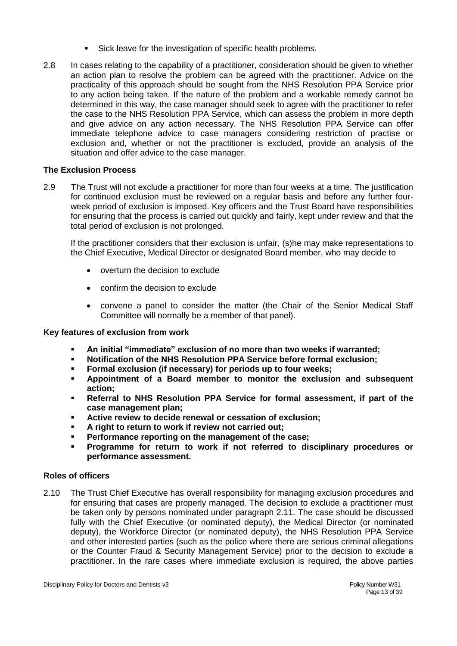- Sick leave for the investigation of specific health problems.
- 2.8 In cases relating to the capability of a practitioner, consideration should be given to whether an action plan to resolve the problem can be agreed with the practitioner. Advice on the practicality of this approach should be sought from the NHS Resolution PPA Service prior to any action being taken. If the nature of the problem and a workable remedy cannot be determined in this way, the case manager should seek to agree with the practitioner to refer the case to the NHS Resolution PPA Service, which can assess the problem in more depth and give advice on any action necessary. The NHS Resolution PPA Service can offer immediate telephone advice to case managers considering restriction of practise or exclusion and, whether or not the practitioner is excluded, provide an analysis of the situation and offer advice to the case manager.

## **The Exclusion Process**

2.9 The Trust will not exclude a practitioner for more than four weeks at a time. The justification for continued exclusion must be reviewed on a regular basis and before any further fourweek period of exclusion is imposed. Key officers and the Trust Board have responsibilities for ensuring that the process is carried out quickly and fairly, kept under review and that the total period of exclusion is not prolonged.

If the practitioner considers that their exclusion is unfair, (s)he may make representations to the Chief Executive, Medical Director or designated Board member, who may decide to

- overturn the decision to exclude
- confirm the decision to exclude
- convene a panel to consider the matter (the Chair of the Senior Medical Staff Committee will normally be a member of that panel).

#### **Key features of exclusion from work**

- **An initial "immediate" exclusion of no more than two weeks if warranted;**
- **Notification of the NHS Resolution PPA Service before formal exclusion;**
- **Formal exclusion (if necessary) for periods up to four weeks;**
- **Appointment of a Board member to monitor the exclusion and subsequent action;**
- **Referral to NHS Resolution PPA Service for formal assessment, if part of the case management plan;**
- **Active review to decide renewal or cessation of exclusion;**
- **A right to return to work if review not carried out;**
- **Performance reporting on the management of the case;**
- **Programme for return to work if not referred to disciplinary procedures or performance assessment.**

#### **Roles of officers**

2.10 The Trust Chief Executive has overall responsibility for managing exclusion procedures and for ensuring that cases are properly managed. The decision to exclude a practitioner must be taken only by persons nominated under paragraph 2.11. The case should be discussed fully with the Chief Executive (or nominated deputy), the Medical Director (or nominated deputy), the Workforce Director (or nominated deputy), the NHS Resolution PPA Service and other interested parties (such as the police where there are serious criminal allegations or the Counter Fraud & Security Management Service) prior to the decision to exclude a practitioner. In the rare cases where immediate exclusion is required, the above parties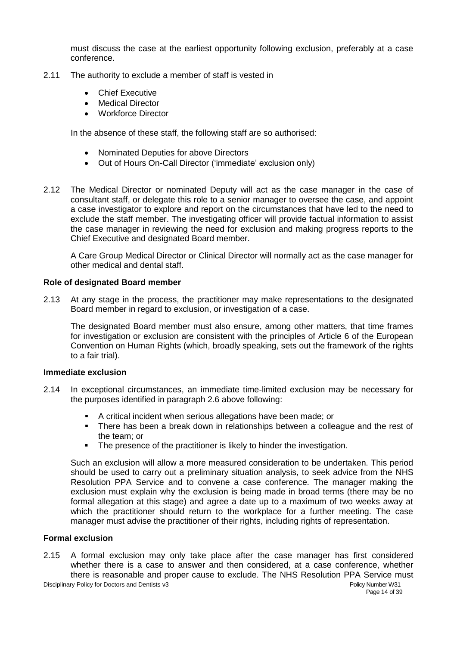must discuss the case at the earliest opportunity following exclusion, preferably at a case conference.

- 2.11 The authority to exclude a member of staff is vested in
	- Chief Executive
	- Medical Director
	- Workforce Director

In the absence of these staff, the following staff are so authorised:

- Nominated Deputies for above Directors
- Out of Hours On-Call Director ('immediate' exclusion only)
- 2.12 The Medical Director or nominated Deputy will act as the case manager in the case of consultant staff, or delegate this role to a senior manager to oversee the case, and appoint a case investigator to explore and report on the circumstances that have led to the need to exclude the staff member. The investigating officer will provide factual information to assist the case manager in reviewing the need for exclusion and making progress reports to the Chief Executive and designated Board member.

A Care Group Medical Director or Clinical Director will normally act as the case manager for other medical and dental staff.

#### **Role of designated Board member**

2.13 At any stage in the process, the practitioner may make representations to the designated Board member in regard to exclusion, or investigation of a case.

The designated Board member must also ensure, among other matters, that time frames for investigation or exclusion are consistent with the principles of Article 6 of the European Convention on Human Rights (which, broadly speaking, sets out the framework of the rights to a fair trial).

#### **Immediate exclusion**

- 2.14 In exceptional circumstances, an immediate time-limited exclusion may be necessary for the purposes identified in paragraph 2.6 above following:
	- A critical incident when serious allegations have been made; or
	- **There has been a break down in relationships between a colleague and the rest of** the team; or
	- The presence of the practitioner is likely to hinder the investigation.

Such an exclusion will allow a more measured consideration to be undertaken. This period should be used to carry out a preliminary situation analysis, to seek advice from the NHS Resolution PPA Service and to convene a case conference. The manager making the exclusion must explain why the exclusion is being made in broad terms (there may be no formal allegation at this stage) and agree a date up to a maximum of two weeks away at which the practitioner should return to the workplace for a further meeting. The case manager must advise the practitioner of their rights, including rights of representation.

## **Formal exclusion**

Disciplinary Policy for Doctors and Dentists v3 **Policy Number W31** Policy Number W31 2.15 A formal exclusion may only take place after the case manager has first considered whether there is a case to answer and then considered, at a case conference, whether there is reasonable and proper cause to exclude. The NHS Resolution PPA Service must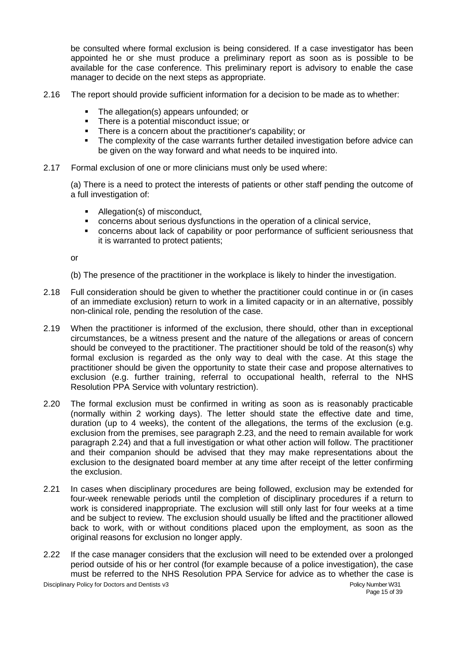be consulted where formal exclusion is being considered. If a case investigator has been appointed he or she must produce a preliminary report as soon as is possible to be available for the case conference. This preliminary report is advisory to enable the case manager to decide on the next steps as appropriate.

- 2.16 The report should provide sufficient information for a decision to be made as to whether:
	- The allegation(s) appears unfounded; or
	- **There is a potential misconduct issue; or**
	- **There is a concern about the practitioner's capability: or**
	- The complexity of the case warrants further detailed investigation before advice can be given on the way forward and what needs to be inquired into.
- 2.17 Formal exclusion of one or more clinicians must only be used where:

(a) There is a need to protect the interests of patients or other staff pending the outcome of a full investigation of:

- Allegation(s) of misconduct,
- concerns about serious dysfunctions in the operation of a clinical service,
- concerns about lack of capability or poor performance of sufficient seriousness that it is warranted to protect patients;

or

- (b) The presence of the practitioner in the workplace is likely to hinder the investigation.
- 2.18 Full consideration should be given to whether the practitioner could continue in or (in cases of an immediate exclusion) return to work in a limited capacity or in an alternative, possibly non-clinical role, pending the resolution of the case.
- 2.19 When the practitioner is informed of the exclusion, there should, other than in exceptional circumstances, be a witness present and the nature of the allegations or areas of concern should be conveyed to the practitioner. The practitioner should be told of the reason(s) why formal exclusion is regarded as the only way to deal with the case. At this stage the practitioner should be given the opportunity to state their case and propose alternatives to exclusion (e.g. further training, referral to occupational health, referral to the NHS Resolution PPA Service with voluntary restriction).
- 2.20 The formal exclusion must be confirmed in writing as soon as is reasonably practicable (normally within 2 working days). The letter should state the effective date and time, duration (up to 4 weeks), the content of the allegations, the terms of the exclusion (e.g. exclusion from the premises, see paragraph 2.23, and the need to remain available for work paragraph 2.24) and that a full investigation or what other action will follow. The practitioner and their companion should be advised that they may make representations about the exclusion to the designated board member at any time after receipt of the letter confirming the exclusion.
- 2.21 In cases when disciplinary procedures are being followed, exclusion may be extended for four-week renewable periods until the completion of disciplinary procedures if a return to work is considered inappropriate. The exclusion will still only last for four weeks at a time and be subject to review. The exclusion should usually be lifted and the practitioner allowed back to work, with or without conditions placed upon the employment, as soon as the original reasons for exclusion no longer apply.
- 2.22 If the case manager considers that the exclusion will need to be extended over a prolonged period outside of his or her control (for example because of a police investigation), the case must be referred to the NHS Resolution PPA Service for advice as to whether the case is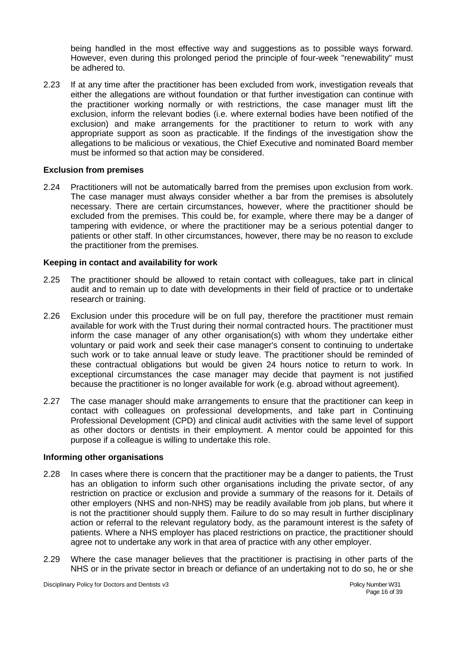being handled in the most effective way and suggestions as to possible ways forward. However, even during this prolonged period the principle of four-week "renewability" must be adhered to.

2.23 If at any time after the practitioner has been excluded from work, investigation reveals that either the allegations are without foundation or that further investigation can continue with the practitioner working normally or with restrictions, the case manager must lift the exclusion, inform the relevant bodies (i.e. where external bodies have been notified of the exclusion) and make arrangements for the practitioner to return to work with any appropriate support as soon as practicable. If the findings of the investigation show the allegations to be malicious or vexatious, the Chief Executive and nominated Board member must be informed so that action may be considered.

#### **Exclusion from premises**

2.24 Practitioners will not be automatically barred from the premises upon exclusion from work. The case manager must always consider whether a bar from the premises is absolutely necessary. There are certain circumstances, however, where the practitioner should be excluded from the premises. This could be, for example, where there may be a danger of tampering with evidence, or where the practitioner may be a serious potential danger to patients or other staff. In other circumstances, however, there may be no reason to exclude the practitioner from the premises.

#### **Keeping in contact and availability for work**

- 2.25 The practitioner should be allowed to retain contact with colleagues, take part in clinical audit and to remain up to date with developments in their field of practice or to undertake research or training.
- 2.26 Exclusion under this procedure will be on full pay, therefore the practitioner must remain available for work with the Trust during their normal contracted hours. The practitioner must inform the case manager of any other organisation(s) with whom they undertake either voluntary or paid work and seek their case manager's consent to continuing to undertake such work or to take annual leave or study leave. The practitioner should be reminded of these contractual obligations but would be given 24 hours notice to return to work. In exceptional circumstances the case manager may decide that payment is not justified because the practitioner is no longer available for work (e.g. abroad without agreement).
- 2.27 The case manager should make arrangements to ensure that the practitioner can keep in contact with colleagues on professional developments, and take part in Continuing Professional Development (CPD) and clinical audit activities with the same level of support as other doctors or dentists in their employment. A mentor could be appointed for this purpose if a colleague is willing to undertake this role.

#### **Informing other organisations**

- 2.28 In cases where there is concern that the practitioner may be a danger to patients, the Trust has an obligation to inform such other organisations including the private sector, of any restriction on practice or exclusion and provide a summary of the reasons for it. Details of other employers (NHS and non-NHS) may be readily available from job plans, but where it is not the practitioner should supply them. Failure to do so may result in further disciplinary action or referral to the relevant regulatory body, as the paramount interest is the safety of patients. Where a NHS employer has placed restrictions on practice, the practitioner should agree not to undertake any work in that area of practice with any other employer.
- 2.29 Where the case manager believes that the practitioner is practising in other parts of the NHS or in the private sector in breach or defiance of an undertaking not to do so, he or she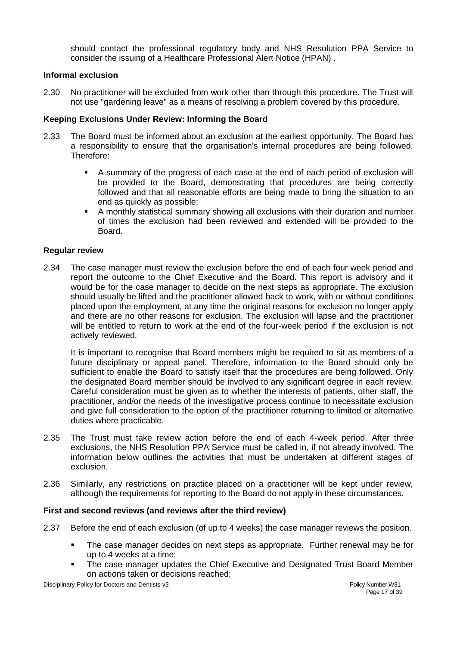should contact the professional regulatory body and NHS Resolution PPA Service to consider the issuing of a Healthcare Professional Alert Notice (HPAN) .

#### **Informal exclusion**

2.30 No practitioner will be excluded from work other than through this procedure. The Trust will not use "gardening leave" as a means of resolving a problem covered by this procedure.

#### **Keeping Exclusions Under Review: Informing the Board**

- 2.33 The Board must be informed about an exclusion at the earliest opportunity. The Board has a responsibility to ensure that the organisation's internal procedures are being followed. Therefore:
	- A summary of the progress of each case at the end of each period of exclusion will be provided to the Board, demonstrating that procedures are being correctly followed and that all reasonable efforts are being made to bring the situation to an end as quickly as possible;
	- A monthly statistical summary showing all exclusions with their duration and number of times the exclusion had been reviewed and extended will be provided to the Board.

#### **Regular review**

2.34 The case manager must review the exclusion before the end of each four week period and report the outcome to the Chief Executive and the Board. This report is advisory and it would be for the case manager to decide on the next steps as appropriate. The exclusion should usually be lifted and the practitioner allowed back to work, with or without conditions placed upon the employment, at any time the original reasons for exclusion no longer apply and there are no other reasons for exclusion. The exclusion will lapse and the practitioner will be entitled to return to work at the end of the four-week period if the exclusion is not actively reviewed.

It is important to recognise that Board members might be required to sit as members of a future disciplinary or appeal panel. Therefore, information to the Board should only be sufficient to enable the Board to satisfy itself that the procedures are being followed. Only the designated Board member should be involved to any significant degree in each review. Careful consideration must be given as to whether the interests of patients, other staff, the practitioner, and/or the needs of the investigative process continue to necessitate exclusion and give full consideration to the option of the practitioner returning to limited or alternative duties where practicable.

- 2.35 The Trust must take review action before the end of each 4-week period. After three exclusions, the NHS Resolution PPA Service must be called in, if not already involved. The information below outlines the activities that must be undertaken at different stages of exclusion.
- 2.36 Similarly, any restrictions on practice placed on a practitioner will be kept under review, although the requirements for reporting to the Board do not apply in these circumstances.

#### **First and second reviews (and reviews after the third review)**

- 2.37 Before the end of each exclusion (of up to 4 weeks) the case manager reviews the position.
	- The case manager decides on next steps as appropriate. Further renewal may be for up to 4 weeks at a time;
	- The case manager updates the Chief Executive and Designated Trust Board Member on actions taken or decisions reached;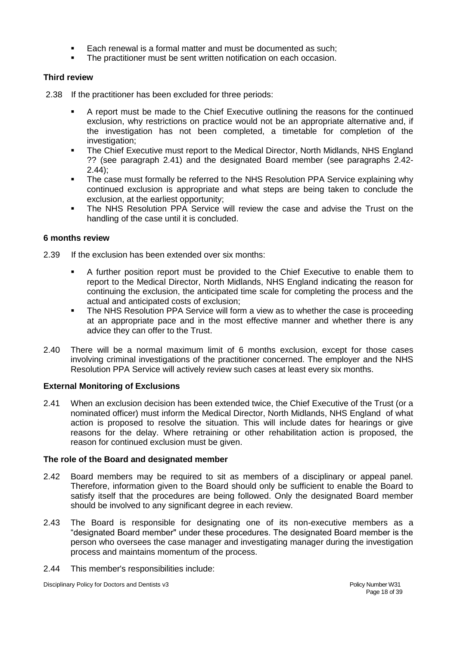- Each renewal is a formal matter and must be documented as such;
- The practitioner must be sent written notification on each occasion.

## **Third review**

- 2.38 If the practitioner has been excluded for three periods:
	- A report must be made to the Chief Executive outlining the reasons for the continued exclusion, why restrictions on practice would not be an appropriate alternative and, if the investigation has not been completed, a timetable for completion of the investigation;
	- The Chief Executive must report to the Medical Director, North Midlands, NHS England ?? (see paragraph 2.41) and the designated Board member (see paragraphs 2.42- 2.44);
	- The case must formally be referred to the NHS Resolution PPA Service explaining why continued exclusion is appropriate and what steps are being taken to conclude the exclusion, at the earliest opportunity;
	- The NHS Resolution PPA Service will review the case and advise the Trust on the handling of the case until it is concluded.

#### **6 months review**

- 2.39 If the exclusion has been extended over six months:
	- A further position report must be provided to the Chief Executive to enable them to report to the Medical Director, North Midlands, NHS England indicating the reason for continuing the exclusion, the anticipated time scale for completing the process and the actual and anticipated costs of exclusion;
	- The NHS Resolution PPA Service will form a view as to whether the case is proceeding at an appropriate pace and in the most effective manner and whether there is any advice they can offer to the Trust.
- 2.40 There will be a normal maximum limit of 6 months exclusion, except for those cases involving criminal investigations of the practitioner concerned. The employer and the NHS Resolution PPA Service will actively review such cases at least every six months.

#### **External Monitoring of Exclusions**

2.41 When an exclusion decision has been extended twice, the Chief Executive of the Trust (or a nominated officer) must inform the Medical Director, North Midlands, NHS England of what action is proposed to resolve the situation. This will include dates for hearings or give reasons for the delay. Where retraining or other rehabilitation action is proposed, the reason for continued exclusion must be given.

#### **The role of the Board and designated member**

- 2.42 Board members may be required to sit as members of a disciplinary or appeal panel. Therefore, information given to the Board should only be sufficient to enable the Board to satisfy itself that the procedures are being followed. Only the designated Board member should be involved to any significant degree in each review.
- 2.43 The Board is responsible for designating one of its non-executive members as a "designated Board member" under these procedures. The designated Board member is the person who oversees the case manager and investigating manager during the investigation process and maintains momentum of the process.
- 2.44 This member's responsibilities include: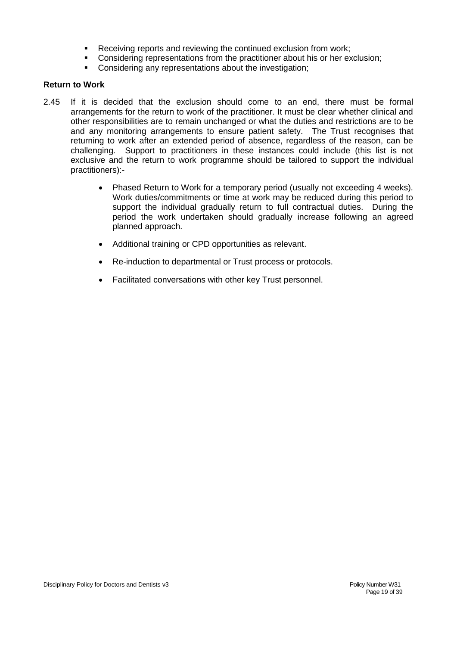- Receiving reports and reviewing the continued exclusion from work;
- Considering representations from the practitioner about his or her exclusion;
- Considering any representations about the investigation;

## **Return to Work**

- 2.45 If it is decided that the exclusion should come to an end, there must be formal arrangements for the return to work of the practitioner. It must be clear whether clinical and other responsibilities are to remain unchanged or what the duties and restrictions are to be and any monitoring arrangements to ensure patient safety. The Trust recognises that returning to work after an extended period of absence, regardless of the reason, can be challenging. Support to practitioners in these instances could include (this list is not exclusive and the return to work programme should be tailored to support the individual practitioners):-
	- Phased Return to Work for a temporary period (usually not exceeding 4 weeks). Work duties/commitments or time at work may be reduced during this period to support the individual gradually return to full contractual duties. During the period the work undertaken should gradually increase following an agreed planned approach.
	- Additional training or CPD opportunities as relevant.
	- Re-induction to departmental or Trust process or protocols.
	- Facilitated conversations with other key Trust personnel.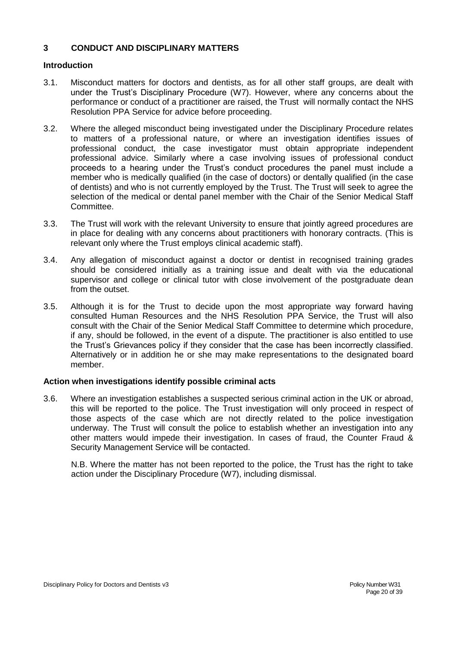## **3 CONDUCT AND DISCIPLINARY MATTERS**

## **Introduction**

- 3.1. Misconduct matters for doctors and dentists, as for all other staff groups, are dealt with under the Trust's Disciplinary Procedure (W7). However, where any concerns about the performance or conduct of a practitioner are raised, the Trust will normally contact the NHS Resolution PPA Service for advice before proceeding.
- 3.2. Where the alleged misconduct being investigated under the Disciplinary Procedure relates to matters of a professional nature, or where an investigation identifies issues of professional conduct, the case investigator must obtain appropriate independent professional advice. Similarly where a case involving issues of professional conduct proceeds to a hearing under the Trust's conduct procedures the panel must include a member who is medically qualified (in the case of doctors) or dentally qualified (in the case of dentists) and who is not currently employed by the Trust. The Trust will seek to agree the selection of the medical or dental panel member with the Chair of the Senior Medical Staff Committee.
- 3.3. The Trust will work with the relevant University to ensure that jointly agreed procedures are in place for dealing with any concerns about practitioners with honorary contracts. (This is relevant only where the Trust employs clinical academic staff).
- 3.4. Any allegation of misconduct against a doctor or dentist in recognised training grades should be considered initially as a training issue and dealt with via the educational supervisor and college or clinical tutor with close involvement of the postgraduate dean from the outset.
- 3.5. Although it is for the Trust to decide upon the most appropriate way forward having consulted Human Resources and the NHS Resolution PPA Service, the Trust will also consult with the Chair of the Senior Medical Staff Committee to determine which procedure, if any, should be followed, in the event of a dispute. The practitioner is also entitled to use the Trust's Grievances policy if they consider that the case has been incorrectly classified. Alternatively or in addition he or she may make representations to the designated board member.

## **Action when investigations identify possible criminal acts**

3.6. Where an investigation establishes a suspected serious criminal action in the UK or abroad, this will be reported to the police. The Trust investigation will only proceed in respect of those aspects of the case which are not directly related to the police investigation underway. The Trust will consult the police to establish whether an investigation into any other matters would impede their investigation. In cases of fraud, the Counter Fraud & Security Management Service will be contacted.

N.B. Where the matter has not been reported to the police, the Trust has the right to take action under the Disciplinary Procedure (W7), including dismissal.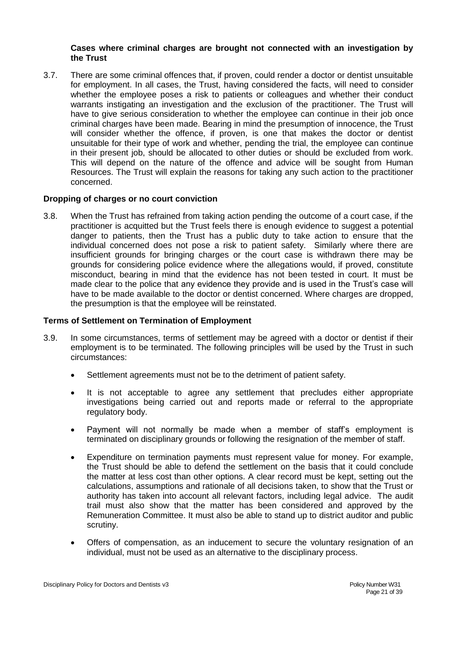#### **Cases where criminal charges are brought not connected with an investigation by the Trust**

3.7. There are some criminal offences that, if proven, could render a doctor or dentist unsuitable for employment. In all cases, the Trust, having considered the facts, will need to consider whether the employee poses a risk to patients or colleagues and whether their conduct warrants instigating an investigation and the exclusion of the practitioner. The Trust will have to give serious consideration to whether the employee can continue in their job once criminal charges have been made. Bearing in mind the presumption of innocence, the Trust will consider whether the offence, if proven, is one that makes the doctor or dentist unsuitable for their type of work and whether, pending the trial, the employee can continue in their present job, should be allocated to other duties or should be excluded from work. This will depend on the nature of the offence and advice will be sought from Human Resources. The Trust will explain the reasons for taking any such action to the practitioner concerned.

#### **Dropping of charges or no court conviction**

3.8. When the Trust has refrained from taking action pending the outcome of a court case, if the practitioner is acquitted but the Trust feels there is enough evidence to suggest a potential danger to patients, then the Trust has a public duty to take action to ensure that the individual concerned does not pose a risk to patient safety. Similarly where there are insufficient grounds for bringing charges or the court case is withdrawn there may be grounds for considering police evidence where the allegations would, if proved, constitute misconduct, bearing in mind that the evidence has not been tested in court. It must be made clear to the police that any evidence they provide and is used in the Trust's case will have to be made available to the doctor or dentist concerned. Where charges are dropped, the presumption is that the employee will be reinstated.

## **Terms of Settlement on Termination of Employment**

- 3.9. In some circumstances, terms of settlement may be agreed with a doctor or dentist if their employment is to be terminated. The following principles will be used by the Trust in such circumstances:
	- Settlement agreements must not be to the detriment of patient safety.
	- It is not acceptable to agree any settlement that precludes either appropriate investigations being carried out and reports made or referral to the appropriate regulatory body.
	- Payment will not normally be made when a member of staff's employment is terminated on disciplinary grounds or following the resignation of the member of staff.
	- Expenditure on termination payments must represent value for money. For example, the Trust should be able to defend the settlement on the basis that it could conclude the matter at less cost than other options. A clear record must be kept, setting out the calculations, assumptions and rationale of all decisions taken, to show that the Trust or authority has taken into account all relevant factors, including legal advice. The audit trail must also show that the matter has been considered and approved by the Remuneration Committee. It must also be able to stand up to district auditor and public scrutiny.
	- Offers of compensation, as an inducement to secure the voluntary resignation of an individual, must not be used as an alternative to the disciplinary process.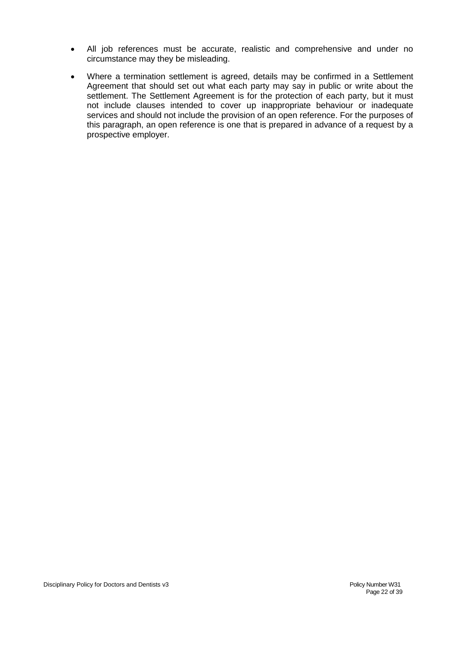- All job references must be accurate, realistic and comprehensive and under no circumstance may they be misleading.
- Where a termination settlement is agreed, details may be confirmed in a Settlement Agreement that should set out what each party may say in public or write about the settlement. The Settlement Agreement is for the protection of each party, but it must not include clauses intended to cover up inappropriate behaviour or inadequate services and should not include the provision of an open reference. For the purposes of this paragraph, an open reference is one that is prepared in advance of a request by a prospective employer.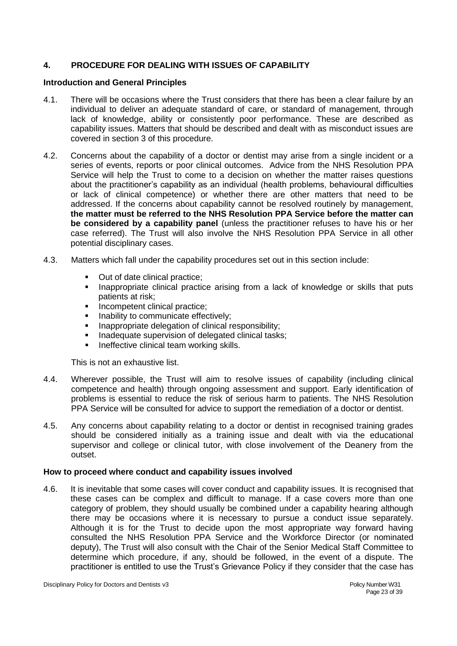## **4. PROCEDURE FOR DEALING WITH ISSUES OF CAPABILITY**

#### **Introduction and General Principles**

- 4.1. There will be occasions where the Trust considers that there has been a clear failure by an individual to deliver an adequate standard of care, or standard of management, through lack of knowledge, ability or consistently poor performance. These are described as capability issues. Matters that should be described and dealt with as misconduct issues are covered in section 3 of this procedure.
- 4.2. Concerns about the capability of a doctor or dentist may arise from a single incident or a series of events, reports or poor clinical outcomes. Advice from the NHS Resolution PPA Service will help the Trust to come to a decision on whether the matter raises questions about the practitioner's capability as an individual (health problems, behavioural difficulties or lack of clinical competence) or whether there are other matters that need to be addressed. If the concerns about capability cannot be resolved routinely by management, **the matter must be referred to the NHS Resolution PPA Service before the matter can be considered by a capability panel** (unless the practitioner refuses to have his or her case referred). The Trust will also involve the NHS Resolution PPA Service in all other potential disciplinary cases.
- 4.3. Matters which fall under the capability procedures set out in this section include:
	- Out of date clinical practice;
	- **Inappropriate clinical practice arising from a lack of knowledge or skills that puts** patients at risk;
	- Incompetent clinical practice;
	- Inability to communicate effectively;
	- Inappropriate delegation of clinical responsibility;<br>Inadequate supervision of delegated clinical tasks
	- Inadequate supervision of delegated clinical tasks;
	- **Ineffective clinical team working skills.**

This is not an exhaustive list.

- 4.4. Wherever possible, the Trust will aim to resolve issues of capability (including clinical competence and health) through ongoing assessment and support. Early identification of problems is essential to reduce the risk of serious harm to patients. The NHS Resolution PPA Service will be consulted for advice to support the remediation of a doctor or dentist.
- 4.5. Any concerns about capability relating to a doctor or dentist in recognised training grades should be considered initially as a training issue and dealt with via the educational supervisor and college or clinical tutor, with close involvement of the Deanery from the outset.

#### **How to proceed where conduct and capability issues involved**

4.6. It is inevitable that some cases will cover conduct and capability issues. It is recognised that these cases can be complex and difficult to manage. If a case covers more than one category of problem, they should usually be combined under a capability hearing although there may be occasions where it is necessary to pursue a conduct issue separately. Although it is for the Trust to decide upon the most appropriate way forward having consulted the NHS Resolution PPA Service and the Workforce Director (or nominated deputy), The Trust will also consult with the Chair of the Senior Medical Staff Committee to determine which procedure, if any, should be followed, in the event of a dispute. The practitioner is entitled to use the Trust's Grievance Policy if they consider that the case has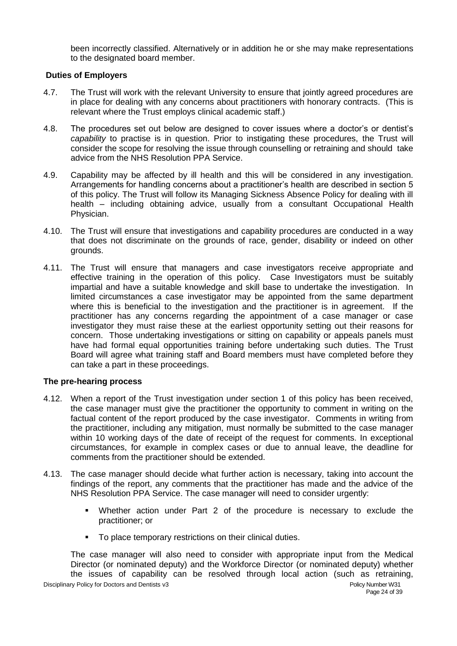been incorrectly classified. Alternatively or in addition he or she may make representations to the designated board member.

#### **Duties of Employers**

- 4.7. The Trust will work with the relevant University to ensure that jointly agreed procedures are in place for dealing with any concerns about practitioners with honorary contracts. (This is relevant where the Trust employs clinical academic staff.)
- 4.8. The procedures set out below are designed to cover issues where a doctor's or dentist's *capability* to practise is in question. Prior to instigating these procedures, the Trust will consider the scope for resolving the issue through counselling or retraining and should take advice from the NHS Resolution PPA Service.
- 4.9. Capability may be affected by ill health and this will be considered in any investigation. Arrangements for handling concerns about a practitioner's health are described in section 5 of this policy. The Trust will follow its Managing Sickness Absence Policy for dealing with ill health – including obtaining advice, usually from a consultant Occupational Health Physician.
- 4.10. The Trust will ensure that investigations and capability procedures are conducted in a way that does not discriminate on the grounds of race, gender, disability or indeed on other grounds.
- 4.11. The Trust will ensure that managers and case investigators receive appropriate and effective training in the operation of this policy. Case Investigators must be suitably impartial and have a suitable knowledge and skill base to undertake the investigation. In limited circumstances a case investigator may be appointed from the same department where this is beneficial to the investigation and the practitioner is in agreement. If the practitioner has any concerns regarding the appointment of a case manager or case investigator they must raise these at the earliest opportunity setting out their reasons for concern. Those undertaking investigations or sitting on capability or appeals panels must have had formal equal opportunities training before undertaking such duties. The Trust Board will agree what training staff and Board members must have completed before they can take a part in these proceedings.

#### **The pre-hearing process**

- 4.12. When a report of the Trust investigation under section 1 of this policy has been received, the case manager must give the practitioner the opportunity to comment in writing on the factual content of the report produced by the case investigator. Comments in writing from the practitioner, including any mitigation, must normally be submitted to the case manager within 10 working days of the date of receipt of the request for comments. In exceptional circumstances, for example in complex cases or due to annual leave, the deadline for comments from the practitioner should be extended.
- 4.13. The case manager should decide what further action is necessary, taking into account the findings of the report, any comments that the practitioner has made and the advice of the NHS Resolution PPA Service. The case manager will need to consider urgently:
	- Whether action under Part 2 of the procedure is necessary to exclude the practitioner; or
	- To place temporary restrictions on their clinical duties.

The case manager will also need to consider with appropriate input from the Medical Director (or nominated deputy) and the Workforce Director (or nominated deputy) whether the issues of capability can be resolved through local action (such as retraining,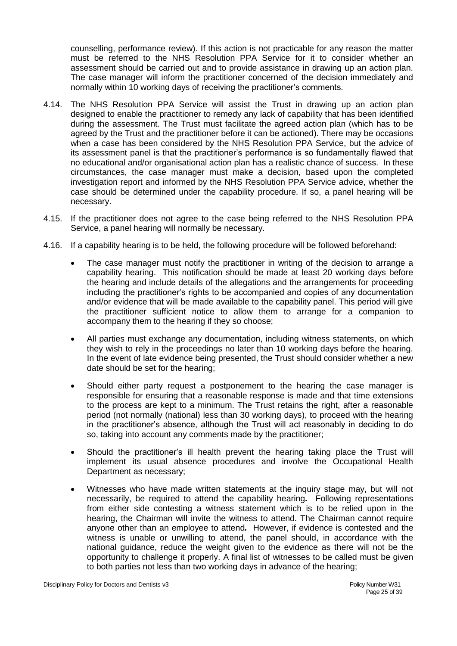counselling, performance review). If this action is not practicable for any reason the matter must be referred to the NHS Resolution PPA Service for it to consider whether an assessment should be carried out and to provide assistance in drawing up an action plan. The case manager will inform the practitioner concerned of the decision immediately and normally within 10 working days of receiving the practitioner's comments.

- 4.14. The NHS Resolution PPA Service will assist the Trust in drawing up an action plan designed to enable the practitioner to remedy any lack of capability that has been identified during the assessment. The Trust must facilitate the agreed action plan (which has to be agreed by the Trust and the practitioner before it can be actioned). There may be occasions when a case has been considered by the NHS Resolution PPA Service, but the advice of its assessment panel is that the practitioner's performance is so fundamentally flawed that no educational and/or organisational action plan has a realistic chance of success. In these circumstances, the case manager must make a decision, based upon the completed investigation report and informed by the NHS Resolution PPA Service advice, whether the case should be determined under the capability procedure. If so, a panel hearing will be necessary.
- 4.15. If the practitioner does not agree to the case being referred to the NHS Resolution PPA Service, a panel hearing will normally be necessary.
- 4.16. If a capability hearing is to be held, the following procedure will be followed beforehand:
	- The case manager must notify the practitioner in writing of the decision to arrange a capability hearing. This notification should be made at least 20 working days before the hearing and include details of the allegations and the arrangements for proceeding including the practitioner's rights to be accompanied and copies of any documentation and/or evidence that will be made available to the capability panel. This period will give the practitioner sufficient notice to allow them to arrange for a companion to accompany them to the hearing if they so choose;
	- All parties must exchange any documentation, including witness statements, on which they wish to rely in the proceedings no later than 10 working days before the hearing. In the event of late evidence being presented, the Trust should consider whether a new date should be set for the hearing;
	- Should either party request a postponement to the hearing the case manager is responsible for ensuring that a reasonable response is made and that time extensions to the process are kept to a minimum. The Trust retains the right, after a reasonable period (not normally (national) less than 30 working days), to proceed with the hearing in the practitioner's absence, although the Trust will act reasonably in deciding to do so, taking into account any comments made by the practitioner;
	- Should the practitioner's ill health prevent the hearing taking place the Trust will implement its usual absence procedures and involve the Occupational Health Department as necessary;
	- Witnesses who have made written statements at the inquiry stage may, but will not necessarily, be required to attend the capability hearing*.* Following representations from either side contesting a witness statement which is to be relied upon in the hearing, the Chairman will invite the witness to attend. The Chairman cannot require anyone other than an employee to attend*.* However, if evidence is contested and the witness is unable or unwilling to attend, the panel should, in accordance with the national guidance, reduce the weight given to the evidence as there will not be the opportunity to challenge it properly. A final list of witnesses to be called must be given to both parties not less than two working days in advance of the hearing;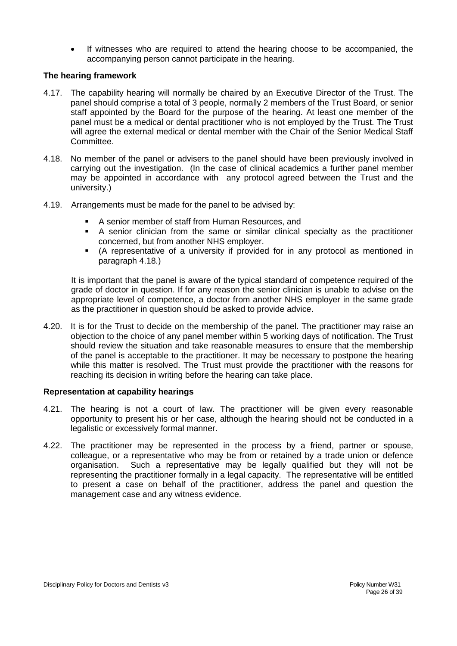If witnesses who are required to attend the hearing choose to be accompanied, the accompanying person cannot participate in the hearing.

## **The hearing framework**

- 4.17. The capability hearing will normally be chaired by an Executive Director of the Trust. The panel should comprise a total of 3 people, normally 2 members of the Trust Board, or senior staff appointed by the Board for the purpose of the hearing. At least one member of the panel must be a medical or dental practitioner who is not employed by the Trust. The Trust will agree the external medical or dental member with the Chair of the Senior Medical Staff Committee.
- 4.18. No member of the panel or advisers to the panel should have been previously involved in carrying out the investigation. (In the case of clinical academics a further panel member may be appointed in accordance with any protocol agreed between the Trust and the university.)
- 4.19. Arrangements must be made for the panel to be advised by:
	- A senior member of staff from Human Resources, and
	- A senior clinician from the same or similar clinical specialty as the practitioner concerned, but from another NHS employer.
	- (A representative of a university if provided for in any protocol as mentioned in paragraph 4.18.)

It is important that the panel is aware of the typical standard of competence required of the grade of doctor in question. If for any reason the senior clinician is unable to advise on the appropriate level of competence, a doctor from another NHS employer in the same grade as the practitioner in question should be asked to provide advice.

4.20. It is for the Trust to decide on the membership of the panel. The practitioner may raise an objection to the choice of any panel member within 5 working days of notification. The Trust should review the situation and take reasonable measures to ensure that the membership of the panel is acceptable to the practitioner. It may be necessary to postpone the hearing while this matter is resolved. The Trust must provide the practitioner with the reasons for reaching its decision in writing before the hearing can take place.

#### **Representation at capability hearings**

- 4.21. The hearing is not a court of law. The practitioner will be given every reasonable opportunity to present his or her case, although the hearing should not be conducted in a legalistic or excessively formal manner.
- 4.22. The practitioner may be represented in the process by a friend, partner or spouse, colleague, or a representative who may be from or retained by a trade union or defence organisation. Such a representative may be legally qualified but they will not be representing the practitioner formally in a legal capacity. The representative will be entitled to present a case on behalf of the practitioner, address the panel and question the management case and any witness evidence.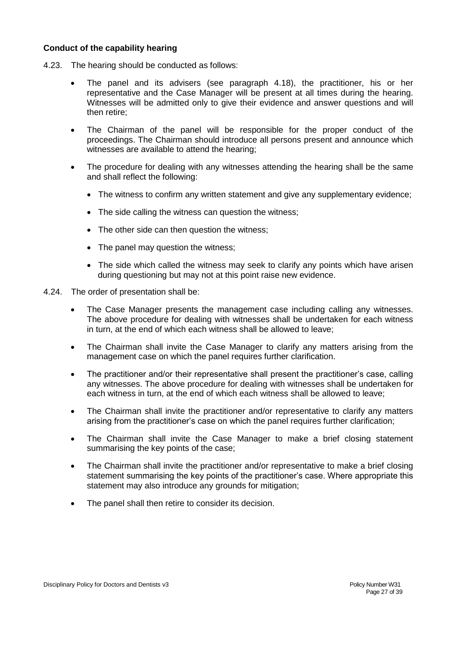#### **Conduct of the capability hearing**

- 4.23. The hearing should be conducted as follows:
	- The panel and its advisers (see paragraph 4.18), the practitioner, his or her representative and the Case Manager will be present at all times during the hearing. Witnesses will be admitted only to give their evidence and answer questions and will then retire;
	- The Chairman of the panel will be responsible for the proper conduct of the proceedings. The Chairman should introduce all persons present and announce which witnesses are available to attend the hearing;
	- The procedure for dealing with any witnesses attending the hearing shall be the same and shall reflect the following:
		- The witness to confirm any written statement and give any supplementary evidence;
		- The side calling the witness can question the witness;
		- The other side can then question the witness;
		- The panel may question the witness;
		- The side which called the witness may seek to clarify any points which have arisen during questioning but may not at this point raise new evidence.
- 4.24. The order of presentation shall be:
	- The Case Manager presents the management case including calling any witnesses. The above procedure for dealing with witnesses shall be undertaken for each witness in turn, at the end of which each witness shall be allowed to leave;
	- The Chairman shall invite the Case Manager to clarify any matters arising from the management case on which the panel requires further clarification.
	- The practitioner and/or their representative shall present the practitioner's case, calling any witnesses. The above procedure for dealing with witnesses shall be undertaken for each witness in turn, at the end of which each witness shall be allowed to leave;
	- The Chairman shall invite the practitioner and/or representative to clarify any matters arising from the practitioner's case on which the panel requires further clarification;
	- The Chairman shall invite the Case Manager to make a brief closing statement summarising the key points of the case;
	- The Chairman shall invite the practitioner and/or representative to make a brief closing statement summarising the key points of the practitioner's case. Where appropriate this statement may also introduce any grounds for mitigation;
	- The panel shall then retire to consider its decision.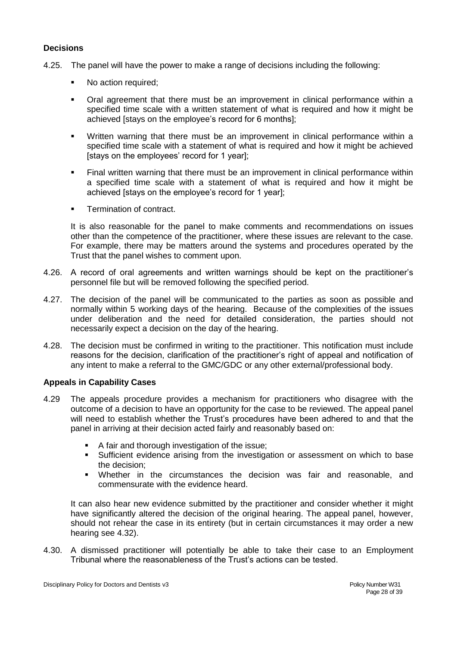#### **Decisions**

- 4.25. The panel will have the power to make a range of decisions including the following:
	- No action required;
	- Oral agreement that there must be an improvement in clinical performance within a specified time scale with a written statement of what is required and how it might be achieved [stays on the employee's record for 6 months];
	- Written warning that there must be an improvement in clinical performance within a specified time scale with a statement of what is required and how it might be achieved [stays on the employees' record for 1 year];
	- Final written warning that there must be an improvement in clinical performance within a specified time scale with a statement of what is required and how it might be achieved [stays on the employee's record for 1 year];
	- Termination of contract.

It is also reasonable for the panel to make comments and recommendations on issues other than the competence of the practitioner, where these issues are relevant to the case. For example, there may be matters around the systems and procedures operated by the Trust that the panel wishes to comment upon.

- 4.26. A record of oral agreements and written warnings should be kept on the practitioner's personnel file but will be removed following the specified period.
- 4.27. The decision of the panel will be communicated to the parties as soon as possible and normally within 5 working days of the hearing. Because of the complexities of the issues under deliberation and the need for detailed consideration, the parties should not necessarily expect a decision on the day of the hearing.
- 4.28. The decision must be confirmed in writing to the practitioner. This notification must include reasons for the decision, clarification of the practitioner's right of appeal and notification of any intent to make a referral to the GMC/GDC or any other external/professional body.

#### **Appeals in Capability Cases**

- 4.29 The appeals procedure provides a mechanism for practitioners who disagree with the outcome of a decision to have an opportunity for the case to be reviewed. The appeal panel will need to establish whether the Trust's procedures have been adhered to and that the panel in arriving at their decision acted fairly and reasonably based on:
	- A fair and thorough investigation of the issue;
	- Sufficient evidence arising from the investigation or assessment on which to base the decision;
	- Whether in the circumstances the decision was fair and reasonable, and commensurate with the evidence heard.

It can also hear new evidence submitted by the practitioner and consider whether it might have significantly altered the decision of the original hearing. The appeal panel, however, should not rehear the case in its entirety (but in certain circumstances it may order a new hearing see 4.32).

4.30. A dismissed practitioner will potentially be able to take their case to an Employment Tribunal where the reasonableness of the Trust's actions can be tested.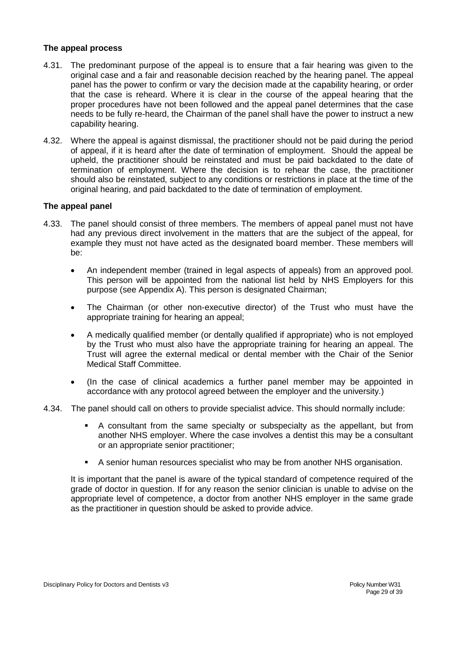#### **The appeal process**

- 4.31. The predominant purpose of the appeal is to ensure that a fair hearing was given to the original case and a fair and reasonable decision reached by the hearing panel. The appeal panel has the power to confirm or vary the decision made at the capability hearing, or order that the case is reheard. Where it is clear in the course of the appeal hearing that the proper procedures have not been followed and the appeal panel determines that the case needs to be fully re-heard, the Chairman of the panel shall have the power to instruct a new capability hearing.
- 4.32. Where the appeal is against dismissal, the practitioner should not be paid during the period of appeal, if it is heard after the date of termination of employment. Should the appeal be upheld, the practitioner should be reinstated and must be paid backdated to the date of termination of employment. Where the decision is to rehear the case, the practitioner should also be reinstated, subject to any conditions or restrictions in place at the time of the original hearing, and paid backdated to the date of termination of employment.

#### **The appeal panel**

- 4.33. The panel should consist of three members. The members of appeal panel must not have had any previous direct involvement in the matters that are the subject of the appeal, for example they must not have acted as the designated board member. These members will be:
	- An independent member (trained in legal aspects of appeals) from an approved pool. This person will be appointed from the national list held by NHS Employers for this purpose (see Appendix A). This person is designated Chairman;
	- The Chairman (or other non-executive director) of the Trust who must have the appropriate training for hearing an appeal;
	- A medically qualified member (or dentally qualified if appropriate) who is not employed by the Trust who must also have the appropriate training for hearing an appeal. The Trust will agree the external medical or dental member with the Chair of the Senior Medical Staff Committee.
	- (In the case of clinical academics a further panel member may be appointed in accordance with any protocol agreed between the employer and the university.)
- 4.34. The panel should call on others to provide specialist advice. This should normally include:
	- A consultant from the same specialty or subspecialty as the appellant, but from another NHS employer. Where the case involves a dentist this may be a consultant or an appropriate senior practitioner;
	- A senior human resources specialist who may be from another NHS organisation.

It is important that the panel is aware of the typical standard of competence required of the grade of doctor in question. If for any reason the senior clinician is unable to advise on the appropriate level of competence, a doctor from another NHS employer in the same grade as the practitioner in question should be asked to provide advice.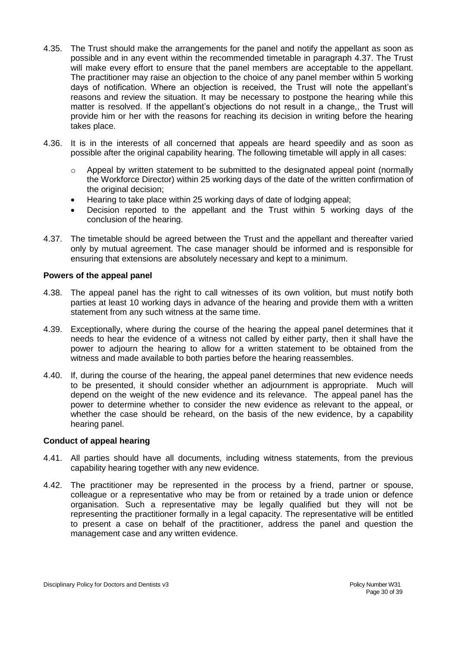- 4.35. The Trust should make the arrangements for the panel and notify the appellant as soon as possible and in any event within the recommended timetable in paragraph 4.37. The Trust will make every effort to ensure that the panel members are acceptable to the appellant. The practitioner may raise an objection to the choice of any panel member within 5 working days of notification. Where an objection is received, the Trust will note the appellant's reasons and review the situation. It may be necessary to postpone the hearing while this matter is resolved. If the appellant's objections do not result in a change,, the Trust will provide him or her with the reasons for reaching its decision in writing before the hearing takes place.
- 4.36. It is in the interests of all concerned that appeals are heard speedily and as soon as possible after the original capability hearing. The following timetable will apply in all cases:
	- $\circ$  Appeal by written statement to be submitted to the designated appeal point (normally the Workforce Director) within 25 working days of the date of the written confirmation of the original decision;
	- Hearing to take place within 25 working days of date of lodging appeal;
	- Decision reported to the appellant and the Trust within 5 working days of the conclusion of the hearing.
- 4.37. The timetable should be agreed between the Trust and the appellant and thereafter varied only by mutual agreement. The case manager should be informed and is responsible for ensuring that extensions are absolutely necessary and kept to a minimum.

#### **Powers of the appeal panel**

- 4.38. The appeal panel has the right to call witnesses of its own volition, but must notify both parties at least 10 working days in advance of the hearing and provide them with a written statement from any such witness at the same time.
- 4.39. Exceptionally, where during the course of the hearing the appeal panel determines that it needs to hear the evidence of a witness not called by either party, then it shall have the power to adjourn the hearing to allow for a written statement to be obtained from the witness and made available to both parties before the hearing reassembles.
- 4.40. If, during the course of the hearing, the appeal panel determines that new evidence needs to be presented, it should consider whether an adjournment is appropriate. Much will depend on the weight of the new evidence and its relevance. The appeal panel has the power to determine whether to consider the new evidence as relevant to the appeal, or whether the case should be reheard, on the basis of the new evidence, by a capability hearing panel.

#### **Conduct of appeal hearing**

- 4.41. All parties should have all documents, including witness statements, from the previous capability hearing together with any new evidence.
- 4.42. The practitioner may be represented in the process by a friend, partner or spouse, colleague or a representative who may be from or retained by a trade union or defence organisation. Such a representative may be legally qualified but they will not be representing the practitioner formally in a legal capacity. The representative will be entitled to present a case on behalf of the practitioner, address the panel and question the management case and any written evidence.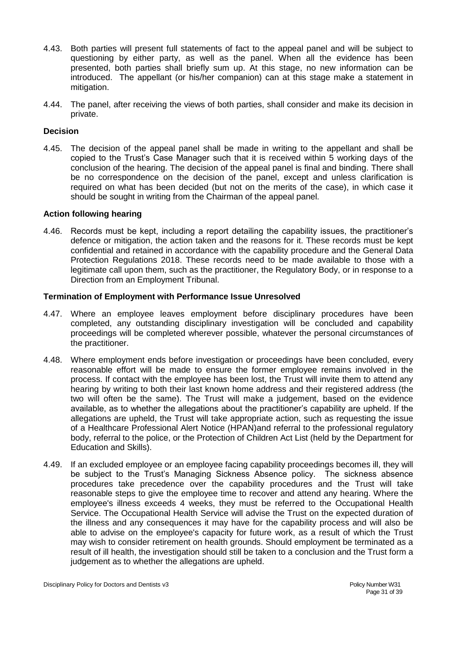- 4.43. Both parties will present full statements of fact to the appeal panel and will be subject to questioning by either party, as well as the panel. When all the evidence has been presented, both parties shall briefly sum up. At this stage, no new information can be introduced. The appellant (or his/her companion) can at this stage make a statement in mitigation.
- 4.44. The panel, after receiving the views of both parties, shall consider and make its decision in private.

#### **Decision**

4.45. The decision of the appeal panel shall be made in writing to the appellant and shall be copied to the Trust's Case Manager such that it is received within 5 working days of the conclusion of the hearing. The decision of the appeal panel is final and binding. There shall be no correspondence on the decision of the panel, except and unless clarification is required on what has been decided (but not on the merits of the case), in which case it should be sought in writing from the Chairman of the appeal panel.

#### **Action following hearing**

4.46. Records must be kept, including a report detailing the capability issues, the practitioner's defence or mitigation, the action taken and the reasons for it. These records must be kept confidential and retained in accordance with the capability procedure and the General Data Protection Regulations 2018. These records need to be made available to those with a legitimate call upon them, such as the practitioner, the Regulatory Body, or in response to a Direction from an Employment Tribunal.

#### **Termination of Employment with Performance Issue Unresolved**

- 4.47. Where an employee leaves employment before disciplinary procedures have been completed, any outstanding disciplinary investigation will be concluded and capability proceedings will be completed wherever possible, whatever the personal circumstances of the practitioner.
- 4.48. Where employment ends before investigation or proceedings have been concluded, every reasonable effort will be made to ensure the former employee remains involved in the process. If contact with the employee has been lost, the Trust will invite them to attend any hearing by writing to both their last known home address and their registered address (the two will often be the same). The Trust will make a judgement, based on the evidence available, as to whether the allegations about the practitioner's capability are upheld. If the allegations are upheld, the Trust will take appropriate action, such as requesting the issue of a Healthcare Professional Alert Notice (HPAN)and referral to the professional regulatory body, referral to the police, or the Protection of Children Act List (held by the Department for Education and Skills).
- 4.49. If an excluded employee or an employee facing capability proceedings becomes ill, they will be subject to the Trust's Managing Sickness Absence policy. The sickness absence procedures take precedence over the capability procedures and the Trust will take reasonable steps to give the employee time to recover and attend any hearing. Where the employee's illness exceeds 4 weeks, they must be referred to the Occupational Health Service. The Occupational Health Service will advise the Trust on the expected duration of the illness and any consequences it may have for the capability process and will also be able to advise on the employee's capacity for future work, as a result of which the Trust may wish to consider retirement on health grounds. Should employment be terminated as a result of ill health, the investigation should still be taken to a conclusion and the Trust form a judgement as to whether the allegations are upheld.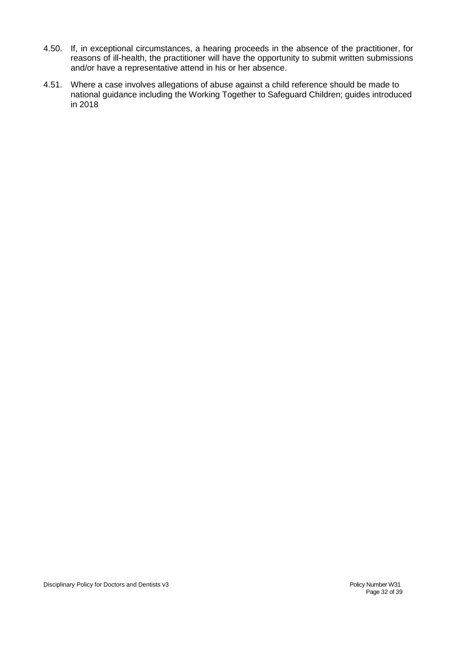- 4.50. If, in exceptional circumstances, a hearing proceeds in the absence of the practitioner, for reasons of ill-health, the practitioner will have the opportunity to submit written submissions and/or have a representative attend in his or her absence.
- 4.51. Where a case involves allegations of abuse against a child reference should be made to national guidance including the Working Together to Safeguard Children; guides introduced in 2018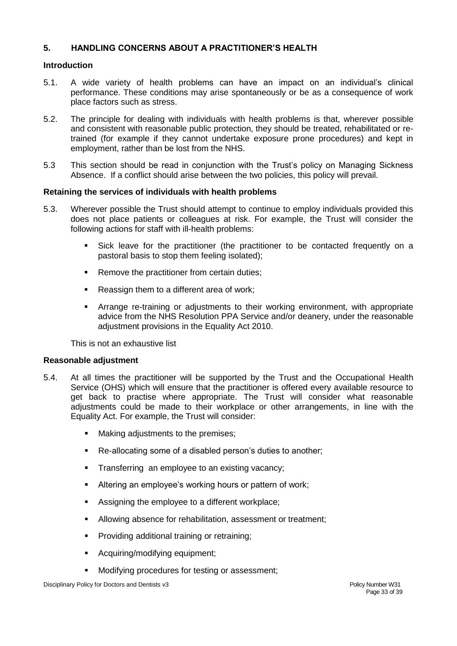## **5. HANDLING CONCERNS ABOUT A PRACTITIONER'S HEALTH**

#### **Introduction**

- 5.1. A wide variety of health problems can have an impact on an individual's clinical performance. These conditions may arise spontaneously or be as a consequence of work place factors such as stress.
- 5.2. The principle for dealing with individuals with health problems is that, wherever possible and consistent with reasonable public protection, they should be treated, rehabilitated or retrained (for example if they cannot undertake exposure prone procedures) and kept in employment, rather than be lost from the NHS.
- 5.3 This section should be read in conjunction with the Trust's policy on Managing Sickness Absence. If a conflict should arise between the two policies, this policy will prevail.

#### **Retaining the services of individuals with health problems**

- 5.3. Wherever possible the Trust should attempt to continue to employ individuals provided this does not place patients or colleagues at risk. For example, the Trust will consider the following actions for staff with ill-health problems:
	- Sick leave for the practitioner (the practitioner to be contacted frequently on a pastoral basis to stop them feeling isolated);
	- Remove the practitioner from certain duties;
	- Reassign them to a different area of work;
	- Arrange re-training or adjustments to their working environment, with appropriate advice from the NHS Resolution PPA Service and/or deanery, under the reasonable adjustment provisions in the Equality Act 2010.

This is not an exhaustive list

#### **Reasonable adjustment**

- 5.4. At all times the practitioner will be supported by the Trust and the Occupational Health Service (OHS) which will ensure that the practitioner is offered every available resource to get back to practise where appropriate. The Trust will consider what reasonable adjustments could be made to their workplace or other arrangements, in line with the Equality Act. For example, the Trust will consider:
	- Making adjustments to the premises;
	- Re-allocating some of a disabled person's duties to another;
	- Transferring an employee to an existing vacancy;
	- Altering an employee's working hours or pattern of work;
	- Assigning the employee to a different workplace;
	- Allowing absence for rehabilitation, assessment or treatment;
	- Providing additional training or retraining;
	- Acquiring/modifying equipment;
	- Modifying procedures for testing or assessment;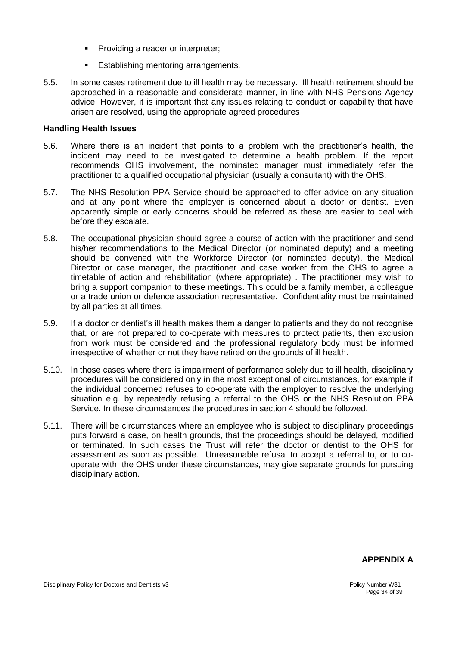- Providing a reader or interpreter;
- **Establishing mentoring arrangements.**
- 5.5. In some cases retirement due to ill health may be necessary. Ill health retirement should be approached in a reasonable and considerate manner, in line with NHS Pensions Agency advice. However, it is important that any issues relating to conduct or capability that have arisen are resolved, using the appropriate agreed procedures

#### **Handling Health Issues**

- 5.6. Where there is an incident that points to a problem with the practitioner's health, the incident may need to be investigated to determine a health problem. If the report recommends OHS involvement, the nominated manager must immediately refer the practitioner to a qualified occupational physician (usually a consultant) with the OHS.
- 5.7. The NHS Resolution PPA Service should be approached to offer advice on any situation and at any point where the employer is concerned about a doctor or dentist. Even apparently simple or early concerns should be referred as these are easier to deal with before they escalate.
- 5.8. The occupational physician should agree a course of action with the practitioner and send his/her recommendations to the Medical Director (or nominated deputy) and a meeting should be convened with the Workforce Director (or nominated deputy), the Medical Director or case manager, the practitioner and case worker from the OHS to agree a timetable of action and rehabilitation (where appropriate) . The practitioner may wish to bring a support companion to these meetings. This could be a family member, a colleague or a trade union or defence association representative. Confidentiality must be maintained by all parties at all times.
- 5.9. If a doctor or dentist's ill health makes them a danger to patients and they do not recognise that, or are not prepared to co-operate with measures to protect patients, then exclusion from work must be considered and the professional regulatory body must be informed irrespective of whether or not they have retired on the grounds of ill health.
- 5.10. In those cases where there is impairment of performance solely due to ill health, disciplinary procedures will be considered only in the most exceptional of circumstances, for example if the individual concerned refuses to co-operate with the employer to resolve the underlying situation e.g. by repeatedly refusing a referral to the OHS or the NHS Resolution PPA Service. In these circumstances the procedures in section 4 should be followed.
- 5.11. There will be circumstances where an employee who is subject to disciplinary proceedings puts forward a case, on health grounds, that the proceedings should be delayed, modified or terminated. In such cases the Trust will refer the doctor or dentist to the OHS for assessment as soon as possible. Unreasonable refusal to accept a referral to, or to cooperate with, the OHS under these circumstances, may give separate grounds for pursuing disciplinary action.

#### **APPENDIX A**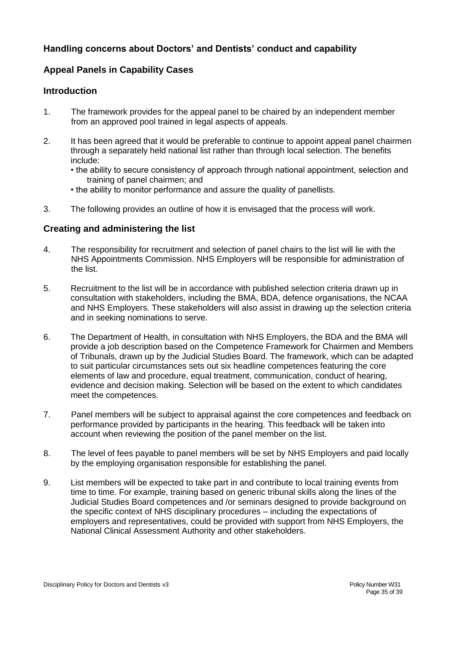# **Handling concerns about Doctors' and Dentists' conduct and capability**

# **Appeal Panels in Capability Cases**

## **Introduction**

- 1. The framework provides for the appeal panel to be chaired by an independent member from an approved pool trained in legal aspects of appeals.
- 2. It has been agreed that it would be preferable to continue to appoint appeal panel chairmen through a separately held national list rather than through local selection. The benefits include:
	- the ability to secure consistency of approach through national appointment, selection and training of panel chairmen; and
	- the ability to monitor performance and assure the quality of panellists.
- 3. The following provides an outline of how it is envisaged that the process will work.

## **Creating and administering the list**

- 4. The responsibility for recruitment and selection of panel chairs to the list will lie with the NHS Appointments Commission. NHS Employers will be responsible for administration of the list.
- 5. Recruitment to the list will be in accordance with published selection criteria drawn up in consultation with stakeholders, including the BMA, BDA, defence organisations, the NCAA and NHS Employers. These stakeholders will also assist in drawing up the selection criteria and in seeking nominations to serve.
- 6. The Department of Health, in consultation with NHS Employers, the BDA and the BMA will provide a job description based on the Competence Framework for Chairmen and Members of Tribunals, drawn up by the Judicial Studies Board. The framework, which can be adapted to suit particular circumstances sets out six headline competences featuring the core elements of law and procedure, equal treatment, communication, conduct of hearing, evidence and decision making. Selection will be based on the extent to which candidates meet the competences.
- 7. Panel members will be subject to appraisal against the core competences and feedback on performance provided by participants in the hearing. This feedback will be taken into account when reviewing the position of the panel member on the list.
- 8. The level of fees payable to panel members will be set by NHS Employers and paid locally by the employing organisation responsible for establishing the panel.
- 9. List members will be expected to take part in and contribute to local training events from time to time. For example, training based on generic tribunal skills along the lines of the Judicial Studies Board competences and /or seminars designed to provide background on the specific context of NHS disciplinary procedures – including the expectations of employers and representatives, could be provided with support from NHS Employers, the National Clinical Assessment Authority and other stakeholders.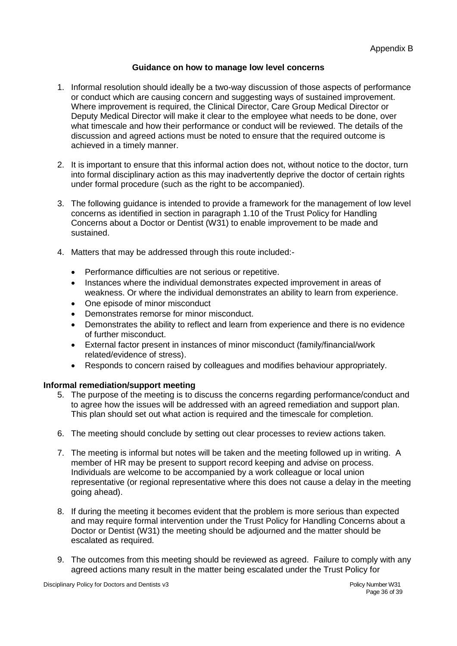#### **Guidance on how to manage low level concerns**

- 1. Informal resolution should ideally be a two-way discussion of those aspects of performance or conduct which are causing concern and suggesting ways of sustained improvement. Where improvement is required, the Clinical Director, Care Group Medical Director or Deputy Medical Director will make it clear to the employee what needs to be done, over what timescale and how their performance or conduct will be reviewed. The details of the discussion and agreed actions must be noted to ensure that the required outcome is achieved in a timely manner.
- 2. It is important to ensure that this informal action does not, without notice to the doctor, turn into formal disciplinary action as this may inadvertently deprive the doctor of certain rights under formal procedure (such as the right to be accompanied).
- 3. The following guidance is intended to provide a framework for the management of low level concerns as identified in section in paragraph 1.10 of the Trust Policy for Handling Concerns about a Doctor or Dentist (W31) to enable improvement to be made and sustained.
- 4. Matters that may be addressed through this route included:-
	- Performance difficulties are not serious or repetitive.
	- Instances where the individual demonstrates expected improvement in areas of weakness. Or where the individual demonstrates an ability to learn from experience.
	- One episode of minor misconduct
	- Demonstrates remorse for minor misconduct.
	- Demonstrates the ability to reflect and learn from experience and there is no evidence of further misconduct.
	- External factor present in instances of minor misconduct (family/financial/work related/evidence of stress).
	- Responds to concern raised by colleagues and modifies behaviour appropriately.

#### **Informal remediation/support meeting**

- 5. The purpose of the meeting is to discuss the concerns regarding performance/conduct and to agree how the issues will be addressed with an agreed remediation and support plan. This plan should set out what action is required and the timescale for completion.
- 6. The meeting should conclude by setting out clear processes to review actions taken.
- 7. The meeting is informal but notes will be taken and the meeting followed up in writing. A member of HR may be present to support record keeping and advise on process. Individuals are welcome to be accompanied by a work colleague or local union representative (or regional representative where this does not cause a delay in the meeting going ahead).
- 8. If during the meeting it becomes evident that the problem is more serious than expected and may require formal intervention under the Trust Policy for Handling Concerns about a Doctor or Dentist (W31) the meeting should be adjourned and the matter should be escalated as required.
- 9. The outcomes from this meeting should be reviewed as agreed. Failure to comply with any agreed actions many result in the matter being escalated under the Trust Policy for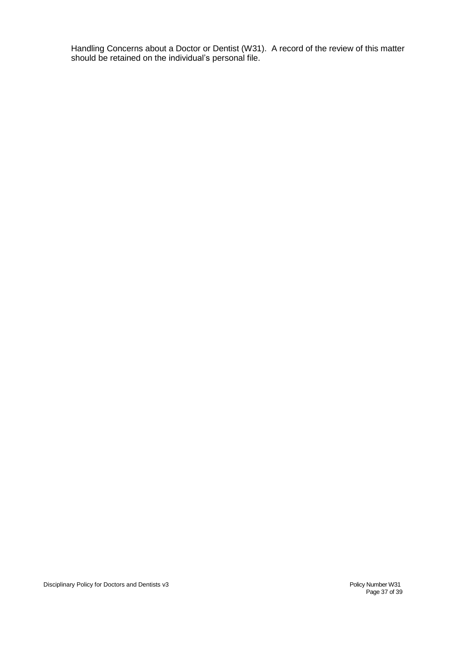Handling Concerns about a Doctor or Dentist (W31). A record of the review of this matter should be retained on the individual's personal file.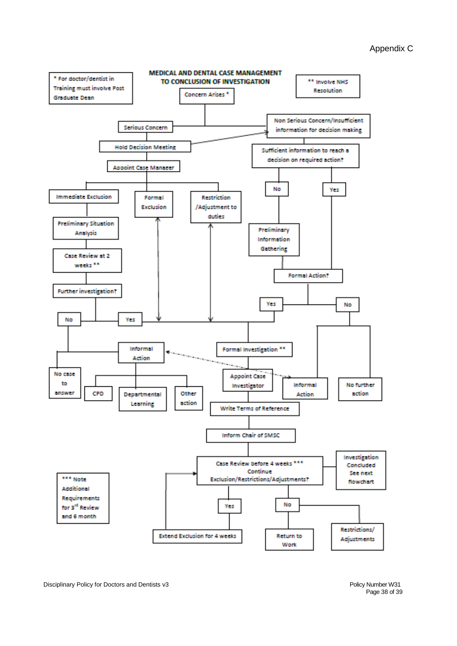#### Appendix C